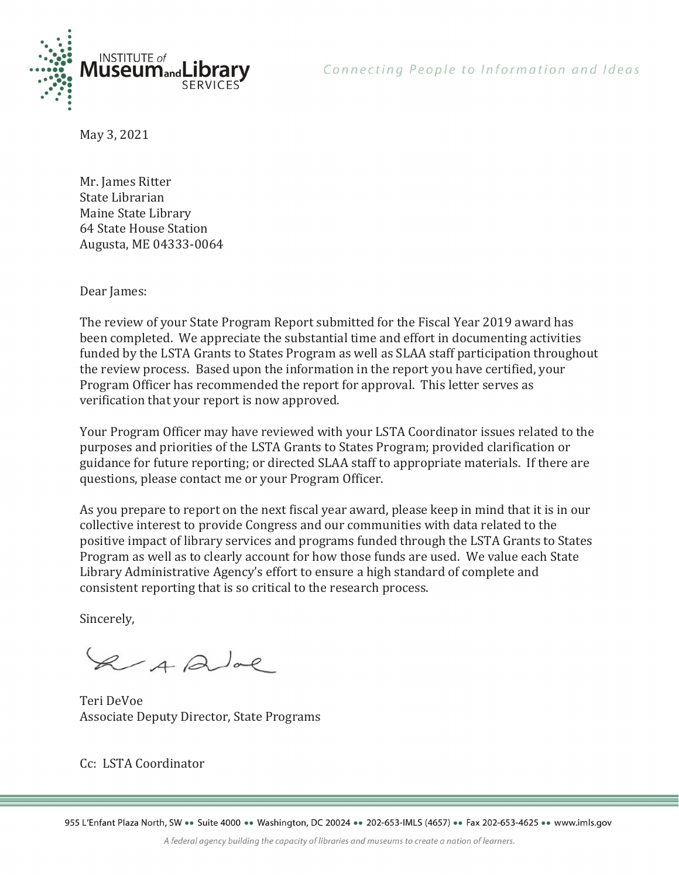

May 3, 2021

Mr. James Ritter State Librarian Maine State Library 64 State House Station Augusta, ME 04333-0064

Dear James:

The review of your State Program Report submitted for the Fiscal Year 2019 award has been completed. We appreciate the substantial time and effort in documenting activities funded by the LSTA Grants to States Program as well as SLAA staff participation throughout the review process. Based upon the information in the report you have certified, your Program Officer has recommended the report for approval. This letter serves as verification that your report is now approved.

Your Program Officer may have reviewed with your LSTA Coordinator issues related to the purposes and priorities of the LSTA Grants to States Program; provided clarification or guidance for future reporting; or directed SLAA staff to appropriate materials. If there are questions, please contact me or your Program Officer.

As you prepare to report on the next fiscal year award, please keep in mind that it is in our collective interest to provide Congress and our communities with data related to the positive impact of library services and programs funded through the LSTA Grants to States Program as well as to clearly account for how those funds are used. We value each State Library Administrative Agency's effort to ensure a high standard of complete and consistent reporting that is so critical to the research process.

Sincerely,

2 A Que

Teri DeVoe Associate Deputy Director, State Programs

Cc: LSTA Coordinator

955 L'Enfant Plaza North, SW ·· Suite 4000 ·· Washington, DC 20024 ·· 202-653-IMLS (4657) ·· Fax 202-653-4625 ·· www.imls.gov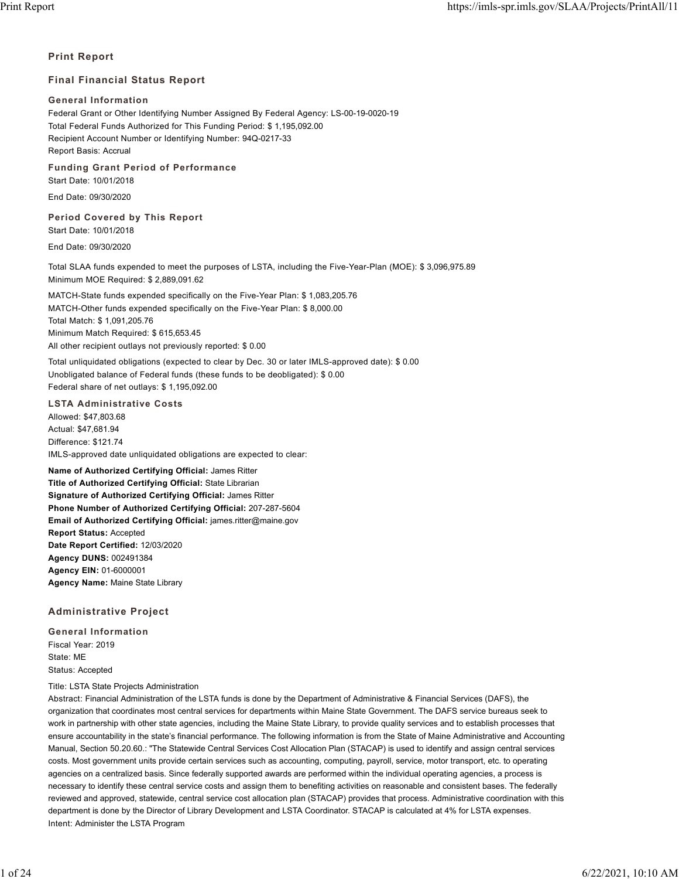## **Print Report**

## **Final Financial Status Report**

### **General Information**

Federal Grant or Other Identifying Number Assigned By Federal Agency: LS-00-19-0020-19 Total Federal Funds Authorized for This Funding Period: \$ 1,195,092.00 Recipient Account Number or Identifying Number: 94Q-0217-33 Report Basis: Accrual

**Funding Grant Period of Performance**

Start Date: 10/01/2018

End Date: 09/30/2020

## **Period Covered by This Report**

Start Date: 10/01/2018

End Date: 09/30/2020

Total SLAA funds expended to meet the purposes of LSTA, including the Five-Year-Plan (MOE): \$ 3,096,975.89 Minimum MOE Required: \$ 2,889,091.62

MATCH-State funds expended specifically on the Five-Year Plan: \$ 1,083,205.76 MATCH-Other funds expended specifically on the Five-Year Plan: \$ 8,000.00 Total Match: \$ 1,091,205.76 Minimum Match Required: \$ 615,653.45 All other recipient outlays not previously reported: \$ 0.00

Total unliquidated obligations (expected to clear by Dec. 30 or later IMLS-approved date): \$ 0.00 Unobligated balance of Federal funds (these funds to be deobligated): \$ 0.00 Federal share of net outlays: \$ 1,195,092.00

## **LSTA Administrative Costs**

Allowed: \$47,803.68 Actual: \$47,681.94 Difference: \$121.74 IMLS-approved date unliquidated obligations are expected to clear:

**Name of Authorized Certifying Official:** James Ritter **Title of Authorized Certifying Official:** State Librarian **Signature of Authorized Certifying Official:** James Ritter **Phone Number of Authorized Certifying Official:** 207-287-5604 **Email of Authorized Certifying Official:** james.ritter@maine.gov **Report Status:** Accepted **Date Report Certified:** 12/03/2020 **Agency DUNS:** 002491384 **Agency EIN:** 01-6000001 **Agency Name:** Maine State Library

## **Administrative Project**

**General Information** Fiscal Year: 2019 State: ME Status: Accepted

Title: LSTA State Projects Administration

Abstract: Financial Administration of the LSTA funds is done by the Department of Administrative & Financial Services (DAFS), the organization that coordinates most central services for departments within Maine State Government. The DAFS service bureaus seek to work in partnership with other state agencies, including the Maine State Library, to provide quality services and to establish processes that ensure accountability in the state's financial performance. The following information is from the State of Maine Administrative and Accounting Manual, Section 50.20.60.: "The Statewide Central Services Cost Allocation Plan (STACAP) is used to identify and assign central services costs. Most government units provide certain services such as accounting, computing, payroll, service, motor transport, etc. to operating agencies on a centralized basis. Since federally supported awards are performed within the individual operating agencies, a process is necessary to identify these central service costs and assign them to benefiting activities on reasonable and consistent bases. The federally reviewed and approved, statewide, central service cost allocation plan (STACAP) provides that process. Administrative coordination with this department is done by the Director of Library Development and LSTA Coordinator. STACAP is calculated at 4% for LSTA expenses. Intent: Administer the LSTA Program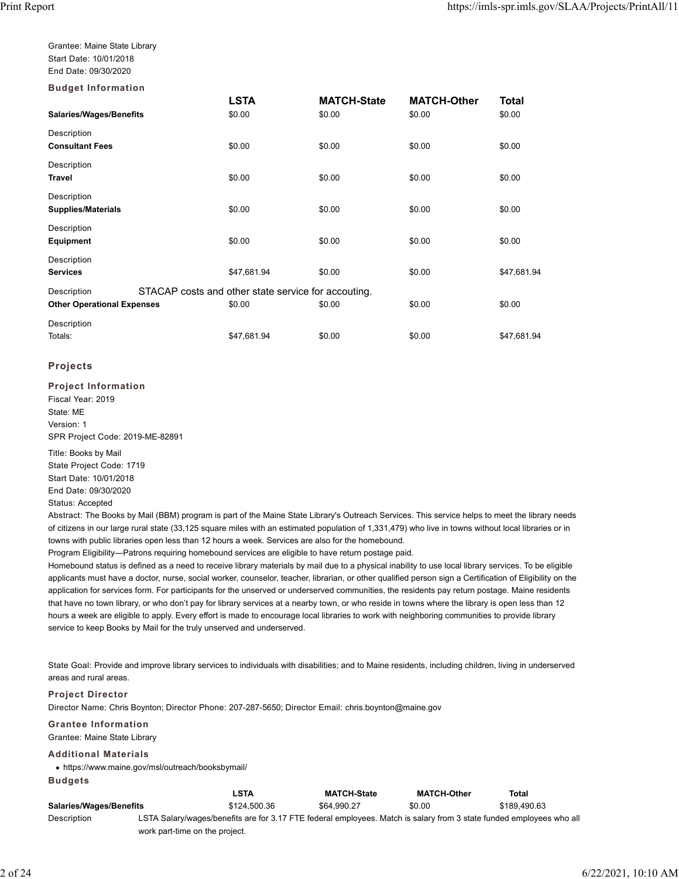Grantee: Maine State Library Start Date: 10/01/2018 End Date: 09/30/2020

| <b>Budget Information</b>         |                                                     |                    |                    |             |
|-----------------------------------|-----------------------------------------------------|--------------------|--------------------|-------------|
|                                   | <b>LSTA</b>                                         | <b>MATCH-State</b> | <b>MATCH-Other</b> | Total       |
| Salaries/Wages/Benefits           | \$0.00                                              | \$0.00             | \$0.00             | \$0.00      |
| Description                       |                                                     |                    |                    |             |
| <b>Consultant Fees</b>            | \$0.00                                              | \$0.00             | \$0.00             | \$0.00      |
| Description                       |                                                     |                    |                    |             |
| <b>Travel</b>                     | \$0.00                                              | \$0.00             | \$0.00             | \$0.00      |
| Description                       |                                                     |                    |                    |             |
| <b>Supplies/Materials</b>         | \$0.00                                              | \$0.00             | \$0.00             | \$0.00      |
| Description                       |                                                     |                    |                    |             |
| <b>Equipment</b>                  | \$0.00                                              | \$0.00             | \$0.00             | \$0.00      |
| Description                       |                                                     |                    |                    |             |
| <b>Services</b>                   | \$47,681.94                                         | \$0.00             | \$0.00             | \$47,681.94 |
| Description                       | STACAP costs and other state service for accouting. |                    |                    |             |
| <b>Other Operational Expenses</b> | \$0.00                                              | \$0.00             | \$0.00             | \$0.00      |
| Description                       |                                                     |                    |                    |             |
| Totals:                           | \$47,681.94                                         | \$0.00             | \$0.00             | \$47,681.94 |

## **Projects**

**Project Information** Fiscal Year: 2019 State: ME Version: 1 SPR Project Code: 2019-ME-82891

Title: Books by Mail State Project Code: 1719 Start Date: 10/01/2018 End Date: 09/30/2020 Status: Accepted

Abstract: The Books by Mail (BBM) program is part of the Maine State Library's Outreach Services. This service helps to meet the library needs of citizens in our large rural state (33,125 square miles with an estimated population of 1,331,479) who live in towns without local libraries or in towns with public libraries open less than 12 hours a week. Services are also for the homebound.

Program Eligibility—Patrons requiring homebound services are eligible to have return postage paid.

Homebound status is defined as a need to receive library materials by mail due to a physical inability to use local library services. To be eligible applicants must have a doctor, nurse, social worker, counselor, teacher, librarian, or other qualified person sign a Certification of Eligibility on the application for services form. For participants for the unserved or underserved communities, the residents pay return postage. Maine residents that have no town library, or who don't pay for library services at a nearby town, or who reside in towns where the library is open less than 12 hours a week are eligible to apply. Every effort is made to encourage local libraries to work with neighboring communities to provide library service to keep Books by Mail for the truly unserved and underserved.

State Goal: Provide and improve library services to individuals with disabilities; and to Maine residents, including children, living in underserved areas and rural areas.

## **Project Director**

Director Name: Chris Boynton; Director Phone: 207-287-5650; Director Email: chris.boynton@maine.gov

#### **Grantee Information**

Grantee: Maine State Library

#### **Additional Materials**

https://www.maine.gov/msl/outreach/booksbymail/ **Budgets**

|                                |                                | <b>LSTA</b>  | <b>MATCH-State</b> | <b>MATCH-Other</b>                                                                                                   | Total        |
|--------------------------------|--------------------------------|--------------|--------------------|----------------------------------------------------------------------------------------------------------------------|--------------|
| <b>Salaries/Wages/Benefits</b> |                                | \$124,500.36 | \$64.990.27        | \$0.00                                                                                                               | \$189.490.63 |
| Description                    |                                |              |                    | LSTA Salary/wages/benefits are for 3.17 FTE federal employees. Match is salary from 3 state funded employees who all |              |
|                                | work part-time on the project. |              |                    |                                                                                                                      |              |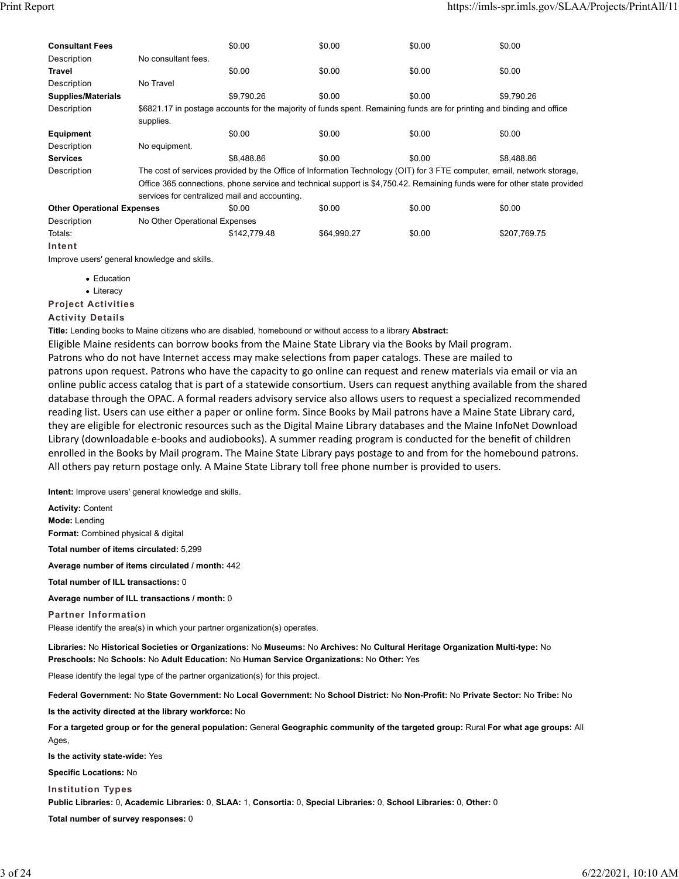| <b>Consultant Fees</b>            |                                                                                                                          | \$0.00                                                                                                                  | \$0.00      | \$0.00 | \$0.00                                                                                                                 |  |  |  |
|-----------------------------------|--------------------------------------------------------------------------------------------------------------------------|-------------------------------------------------------------------------------------------------------------------------|-------------|--------|------------------------------------------------------------------------------------------------------------------------|--|--|--|
| Description                       | No consultant fees.                                                                                                      |                                                                                                                         |             |        |                                                                                                                        |  |  |  |
| Travel                            |                                                                                                                          | \$0.00                                                                                                                  | \$0.00      | \$0.00 | \$0.00                                                                                                                 |  |  |  |
| Description                       | No Travel                                                                                                                |                                                                                                                         |             |        |                                                                                                                        |  |  |  |
| <b>Supplies/Materials</b>         |                                                                                                                          | \$9.790.26                                                                                                              | \$0.00      | \$0.00 | \$9.790.26                                                                                                             |  |  |  |
| Description                       |                                                                                                                          |                                                                                                                         |             |        | \$6821.17 in postage accounts for the majority of funds spent. Remaining funds are for printing and binding and office |  |  |  |
|                                   | supplies.                                                                                                                |                                                                                                                         |             |        |                                                                                                                        |  |  |  |
| Equipment                         |                                                                                                                          | \$0.00                                                                                                                  | \$0.00      | \$0.00 | \$0.00                                                                                                                 |  |  |  |
| Description                       | No equipment.                                                                                                            |                                                                                                                         |             |        |                                                                                                                        |  |  |  |
| <b>Services</b>                   |                                                                                                                          | \$8,488.86                                                                                                              | \$0.00      | \$0.00 | \$8.488.86                                                                                                             |  |  |  |
| Description                       |                                                                                                                          | The cost of services provided by the Office of Information Technology (OIT) for 3 FTE computer, email, network storage, |             |        |                                                                                                                        |  |  |  |
|                                   | Office 365 connections, phone service and technical support is \$4,750.42. Remaining funds were for other state provided |                                                                                                                         |             |        |                                                                                                                        |  |  |  |
|                                   |                                                                                                                          | services for centralized mail and accounting.                                                                           |             |        |                                                                                                                        |  |  |  |
| <b>Other Operational Expenses</b> |                                                                                                                          | \$0.00                                                                                                                  | \$0.00      | \$0.00 | \$0.00                                                                                                                 |  |  |  |
| Description                       | No Other Operational Expenses                                                                                            |                                                                                                                         |             |        |                                                                                                                        |  |  |  |
| Totals:                           |                                                                                                                          | \$142,779.48                                                                                                            | \$64,990.27 | \$0.00 | \$207,769.75                                                                                                           |  |  |  |
| Intent                            |                                                                                                                          |                                                                                                                         |             |        |                                                                                                                        |  |  |  |

Improve users' general knowledge and skills.

- Education
- Literacy

**Project Activities**

### **Activity Details**

**Title:** Lending books to Maine citizens who are disabled, homebound or without access to a library **Abstract:**

Eligible Maine residents can borrow books from the Maine State Library via the Books by Mail program. Patrons who do not have Internet access may make selections from paper catalogs. These are mailed to patrons upon request. Patrons who have the capacity to go online can request and renew materials via email or via an online public access catalog that is part of a statewide consortium. Users can request anything available from the shared database through the OPAC. A formal readers advisory service also allows users to request a specialized recommended reading list. Users can use either a paper or online form. Since Books by Mail patrons have a Maine State Library card, they are eligible for electronic resources such as the Digital Maine Library databases and the Maine InfoNet Download Library (downloadable e‐books and audiobooks). A summer reading program is conducted for the benefit of children enrolled in the Books by Mail program. The Maine State Library pays postage to and from for the homebound patrons. All others pay return postage only. A Maine State Library toll free phone number is provided to users.

**Intent:** Improve users' general knowledge and skills.

**Activity:** Content **Mode:** Lending **Format:** Combined physical & digital

**Total number of items circulated:** 5,299

**Average number of items circulated / month:** 442

**Total number of ILL transactions:** 0

**Average number of ILL transactions / month:** 0

**Partner Information** Please identify the area(s) in which your partner organization(s) operates.

**Libraries:** No **Historical Societies or Organizations:** No **Museums:** No **Archives:** No **Cultural Heritage Organization Multi-type:** No **Preschools:** No **Schools:** No **Adult Education:** No **Human Service Organizations:** No **Other:** Yes

Please identify the legal type of the partner organization(s) for this project.

**Federal Government:** No **State Government:** No **Local Government:** No **School District:** No **Non-Profit:** No **Private Sector:** No **Tribe:** No **Is the activity directed at the library workforce:** No

**For a targeted group or for the general population:** General **Geographic community of the targeted group:** Rural **For what age groups:** All Ages,

**Is the activity state-wide:** Yes

**Specific Locations:** No

**Institution Types**

**Public Libraries:** 0, **Academic Libraries:** 0, **SLAA:** 1, **Consortia:** 0, **Special Libraries:** 0, **School Libraries:** 0, **Other:** 0

**Total number of survey responses:** 0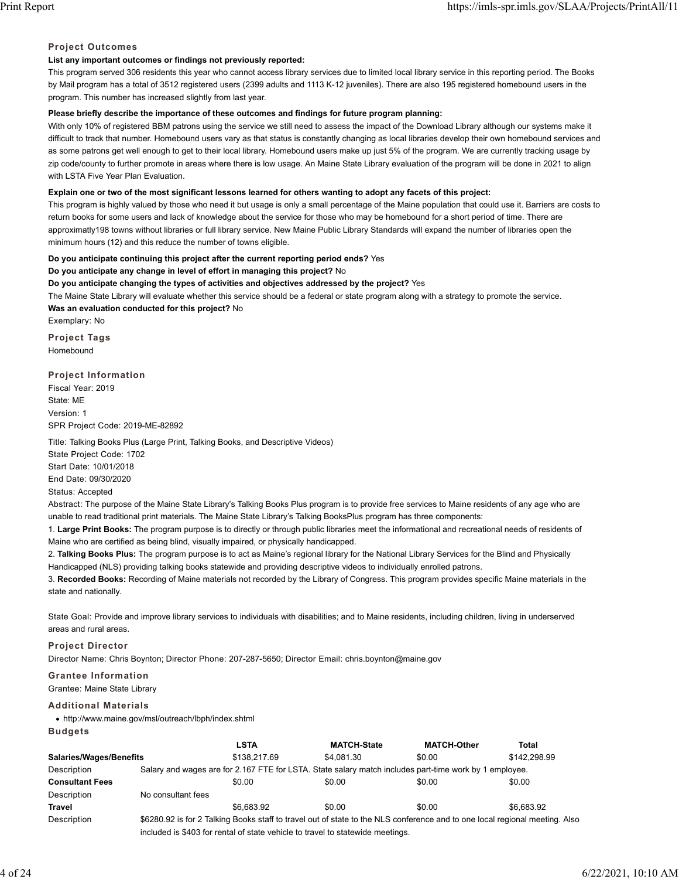## **Project Outcomes**

## **List any important outcomes or findings not previously reported:**

This program served 306 residents this year who cannot access library services due to limited local library service in this reporting period. The Books by Mail program has a total of 3512 registered users (2399 adults and 1113 K-12 juveniles). There are also 195 registered homebound users in the program. This number has increased slightly from last year.

## **Please briefly describe the importance of these outcomes and findings for future program planning:**

With only 10% of registered BBM patrons using the service we still need to assess the impact of the Download Library although our systems make it difficult to track that number. Homebound users vary as that status is constantly changing as local libraries develop their own homebound services and as some patrons get well enough to get to their local library. Homebound users make up just 5% of the program. We are currently tracking usage by zip code/county to further promote in areas where there is low usage. An Maine State Library evaluation of the program will be done in 2021 to align with LSTA Five Year Plan Evaluation.

## **Explain one or two of the most significant lessons learned for others wanting to adopt any facets of this project:**

This program is highly valued by those who need it but usage is only a small percentage of the Maine population that could use it. Barriers are costs to return books for some users and lack of knowledge about the service for those who may be homebound for a short period of time. There are approximatly198 towns without libraries or full library service. New Maine Public Library Standards will expand the number of libraries open the minimum hours (12) and this reduce the number of towns eligible.

## **Do you anticipate continuing this project after the current reporting period ends?** Yes

**Do you anticipate any change in level of effort in managing this project?** No

**Do you anticipate changing the types of activities and objectives addressed by the project?** Yes

The Maine State Library will evaluate whether this service should be a federal or state program along with a strategy to promote the service.

**Was an evaluation conducted for this project?** No

Exemplary: No

**Project Tags** Homebound

# **Project Information**

Fiscal Year: 2019 State: ME Version: 1 SPR Project Code: 2019-ME-82892

Title: Talking Books Plus (Large Print, Talking Books, and Descriptive Videos) State Project Code: 1702

Start Date: 10/01/2018

End Date: 09/30/2020

Status: Accepted

Abstract: The purpose of the Maine State Library's Talking Books Plus program is to provide free services to Maine residents of any age who are unable to read traditional print materials. The Maine State Library's Talking BooksPlus program has three components:

1. **Large Print Books:** The program purpose is to directly or through public libraries meet the informational and recreational needs of residents of Maine who are certified as being blind, visually impaired, or physically handicapped.

2. **Talking Books Plus:** The program purpose is to act as Maine's regional library for the National Library Services for the Blind and Physically Handicapped (NLS) providing talking books statewide and providing descriptive videos to individually enrolled patrons.

3. **Recorded Books:** Recording of Maine materials not recorded by the Library of Congress. This program provides specific Maine materials in the state and nationally.

State Goal: Provide and improve library services to individuals with disabilities; and to Maine residents, including children, living in underserved areas and rural areas.

## **Project Director**

Director Name: Chris Boynton; Director Phone: 207-287-5650; Director Email: chris.boynton@maine.gov

## **Grantee Information**

Grantee: Maine State Library

## **Additional Materials**

http://www.maine.gov/msl/outreach/lbph/index.shtml

**LSTA MATCH-State MATCH-Other Total Salaries/Wages/Benefits** \$138,217.69 \$4,081.30 \$0.00 \$142,298.99 Description Salary and wages are for 2.167 FTE for LSTA. State salary match includes part-time work by 1 employee. **Consultant Fees** \$0.00 \$0.00 \$0.00 \$0.00 \$0.00 \$0.00 \$0.00 Description No consultant fees **Travel** \$6,683.92 \$0.00 \$0.00 \$6,683.92 Description \$6280.92 is for 2 Talking Books staff to travel out of state to the NLS conference and to one local regional meeting. Also included is \$403 for rental of state vehicle to travel to statewide meetings. **Budgets**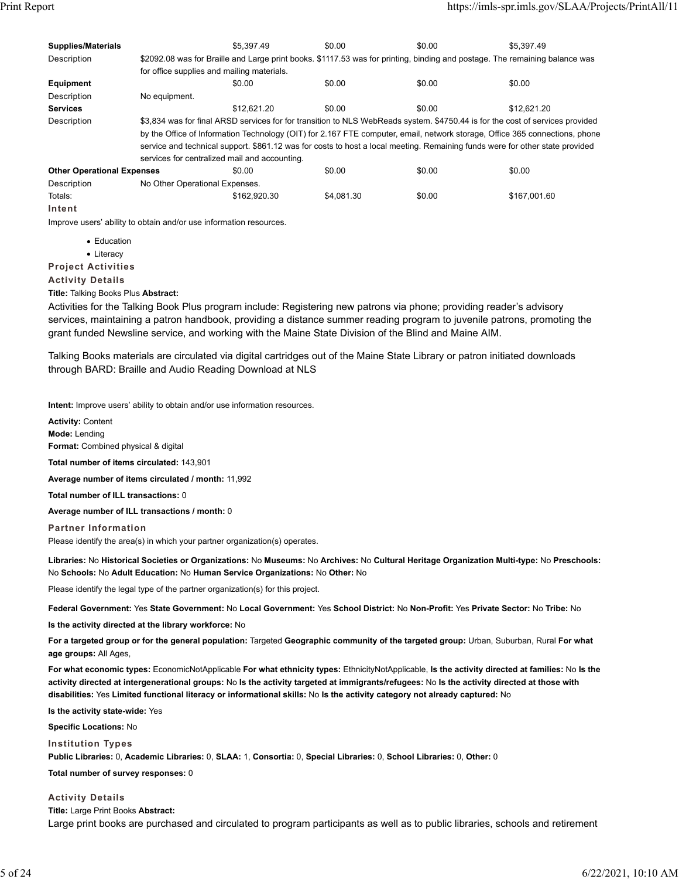| <b>Supplies/Materials</b>         |                                               | \$5.397.49                                                                                                                   | \$0.00     | \$0.00 | \$5.397.49                                                                                                                    |  |  |
|-----------------------------------|-----------------------------------------------|------------------------------------------------------------------------------------------------------------------------------|------------|--------|-------------------------------------------------------------------------------------------------------------------------------|--|--|
| Description                       |                                               | \$2092.08 was for Braille and Large print books. \$1117.53 was for printing, binding and postage. The remaining balance was  |            |        |                                                                                                                               |  |  |
|                                   | for office supplies and mailing materials.    |                                                                                                                              |            |        |                                                                                                                               |  |  |
| <b>Equipment</b>                  |                                               | \$0.00                                                                                                                       | \$0.00     | \$0.00 | \$0.00                                                                                                                        |  |  |
| Description                       | No equipment.                                 |                                                                                                                              |            |        |                                                                                                                               |  |  |
| <b>Services</b>                   |                                               | \$12.621.20                                                                                                                  | \$0.00     | \$0.00 | \$12.621.20                                                                                                                   |  |  |
| Description                       |                                               |                                                                                                                              |            |        | \$3,834 was for final ARSD services for for transition to NLS WebReads system. \$4750.44 is for the cost of services provided |  |  |
|                                   |                                               |                                                                                                                              |            |        | by the Office of Information Technology (OIT) for 2.167 FTE computer, email, network storage, Office 365 connections, phone   |  |  |
|                                   |                                               | service and technical support. \$861.12 was for costs to host a local meeting. Remaining funds were for other state provided |            |        |                                                                                                                               |  |  |
|                                   | services for centralized mail and accounting. |                                                                                                                              |            |        |                                                                                                                               |  |  |
| <b>Other Operational Expenses</b> |                                               | \$0.00                                                                                                                       | \$0.00     | \$0.00 | \$0.00                                                                                                                        |  |  |
| Description                       | No Other Operational Expenses.                |                                                                                                                              |            |        |                                                                                                                               |  |  |
| Totals:                           |                                               | \$162.920.30                                                                                                                 | \$4.081.30 | \$0.00 | \$167,001.60                                                                                                                  |  |  |
| Intent                            |                                               |                                                                                                                              |            |        |                                                                                                                               |  |  |

Improve users' ability to obtain and/or use information resources.

- Education
- Literacy

**Project Activities**

**Activity Details**

**Title:** Talking Books Plus **Abstract:**

Activities for the Talking Book Plus program include: Registering new patrons via phone; providing reader's advisory services, maintaining a patron handbook, providing a distance summer reading program to juvenile patrons, promoting the grant funded Newsline service, and working with the Maine State Division of the Blind and Maine AIM.

Talking Books materials are circulated via digital cartridges out of the Maine State Library or patron initiated downloads through BARD: Braille and Audio Reading Download at NLS

**Intent:** Improve users' ability to obtain and/or use information resources.

**Activity:** Content **Mode:** Lending **Format:** Combined physical & digital **Total number of items circulated:** 143,901 **Average number of items circulated / month:** 11,992 **Total number of ILL transactions:** 0

**Average number of ILL transactions / month:** 0

**Partner Information**

Please identify the area(s) in which your partner organization(s) operates.

**Libraries:** No **Historical Societies or Organizations:** No **Museums:** No **Archives:** No **Cultural Heritage Organization Multi-type:** No **Preschools:** No **Schools:** No **Adult Education:** No **Human Service Organizations:** No **Other:** No

Please identify the legal type of the partner organization(s) for this project.

**Federal Government:** Yes **State Government:** No **Local Government:** Yes **School District:** No **Non-Profit:** Yes **Private Sector:** No **Tribe:** No

**Is the activity directed at the library workforce:** No

**For a targeted group or for the general population:** Targeted **Geographic community of the targeted group:** Urban, Suburban, Rural **For what age groups:** All Ages,

**For what economic types:** EconomicNotApplicable **For what ethnicity types:** EthnicityNotApplicable, **Is the activity directed at families:** No **Is the activity directed at intergenerational groups:** No **Is the activity targeted at immigrants/refugees:** No **Is the activity directed at those with disabilities:** Yes **Limited functional literacy or informational skills:** No **Is the activity category not already captured:** No

**Is the activity state-wide:** Yes

**Specific Locations:** No

**Institution Types**

**Public Libraries:** 0, **Academic Libraries:** 0, **SLAA:** 1, **Consortia:** 0, **Special Libraries:** 0, **School Libraries:** 0, **Other:** 0

**Total number of survey responses:** 0

**Activity Details**

**Title:** Large Print Books **Abstract:**

Large print books are purchased and circulated to program participants as well as to public libraries, schools and retirement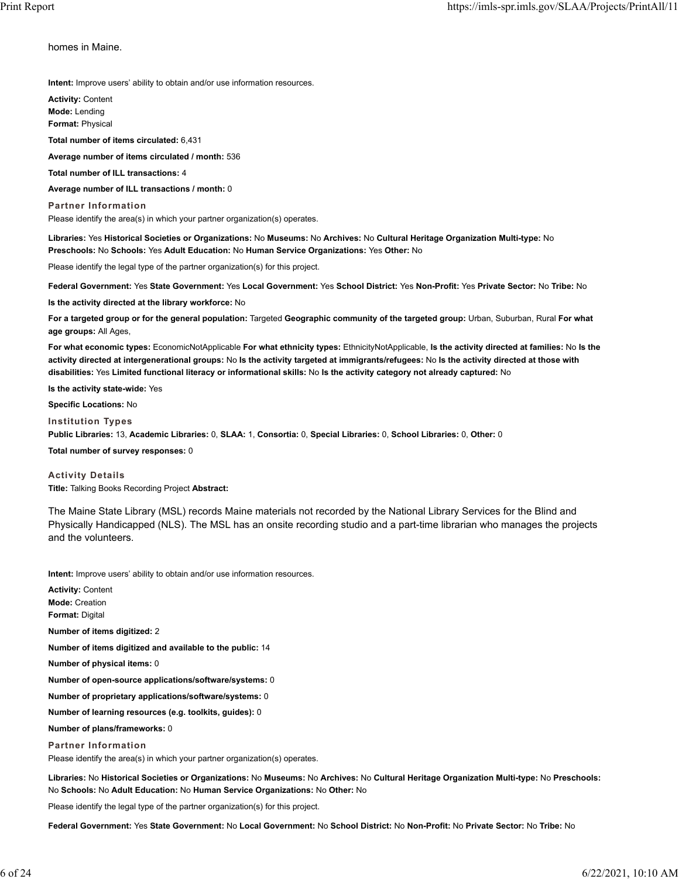homes in Maine.

**Intent:** Improve users' ability to obtain and/or use information resources.

**Activity:** Content **Mode:** Lending **Format:** Physical

**Total number of items circulated:** 6,431

**Average number of items circulated / month:** 536

**Total number of ILL transactions:** 4

**Average number of ILL transactions / month:** 0

**Partner Information**

Please identify the area(s) in which your partner organization(s) operates.

**Libraries:** Yes **Historical Societies or Organizations:** No **Museums:** No **Archives:** No **Cultural Heritage Organization Multi-type:** No **Preschools:** No **Schools:** Yes **Adult Education:** No **Human Service Organizations:** Yes **Other:** No

Please identify the legal type of the partner organization(s) for this project.

**Federal Government:** Yes **State Government:** Yes **Local Government:** Yes **School District:** Yes **Non-Profit:** Yes **Private Sector:** No **Tribe:** No

**Is the activity directed at the library workforce:** No

**For a targeted group or for the general population:** Targeted **Geographic community of the targeted group:** Urban, Suburban, Rural **For what age groups:** All Ages,

**For what economic types:** EconomicNotApplicable **For what ethnicity types:** EthnicityNotApplicable, **Is the activity directed at families:** No **Is the activity directed at intergenerational groups:** No **Is the activity targeted at immigrants/refugees:** No **Is the activity directed at those with disabilities:** Yes **Limited functional literacy or informational skills:** No **Is the activity category not already captured:** No

**Is the activity state-wide:** Yes

**Specific Locations:** No

**Institution Types**

**Public Libraries:** 13, **Academic Libraries:** 0, **SLAA:** 1, **Consortia:** 0, **Special Libraries:** 0, **School Libraries:** 0, **Other:** 0

**Total number of survey responses:** 0

**Activity Details Title:** Talking Books Recording Project **Abstract:**

The Maine State Library (MSL) records Maine materials not recorded by the National Library Services for the Blind and Physically Handicapped (NLS). The MSL has an onsite recording studio and a part-time librarian who manages the projects and the volunteers.

**Intent:** Improve users' ability to obtain and/or use information resources.

**Activity:** Content **Mode:** Creation **Format:** Digital **Number of items digitized:** 2 **Number of items digitized and available to the public:** 14 **Number of physical items:** 0 **Number of open-source applications/software/systems:** 0 **Number of proprietary applications/software/systems:** 0 **Number of learning resources (e.g. toolkits, guides):** 0 **Number of plans/frameworks:** 0 **Partner Information** Please identify the area(s) in which your partner organization(s) operates.

**Libraries:** No **Historical Societies or Organizations:** No **Museums:** No **Archives:** No **Cultural Heritage Organization Multi-type:** No **Preschools:** No **Schools:** No **Adult Education:** No **Human Service Organizations:** No **Other:** No

Please identify the legal type of the partner organization(s) for this project.

**Federal Government:** Yes **State Government:** No **Local Government:** No **School District:** No **Non-Profit:** No **Private Sector:** No **Tribe:** No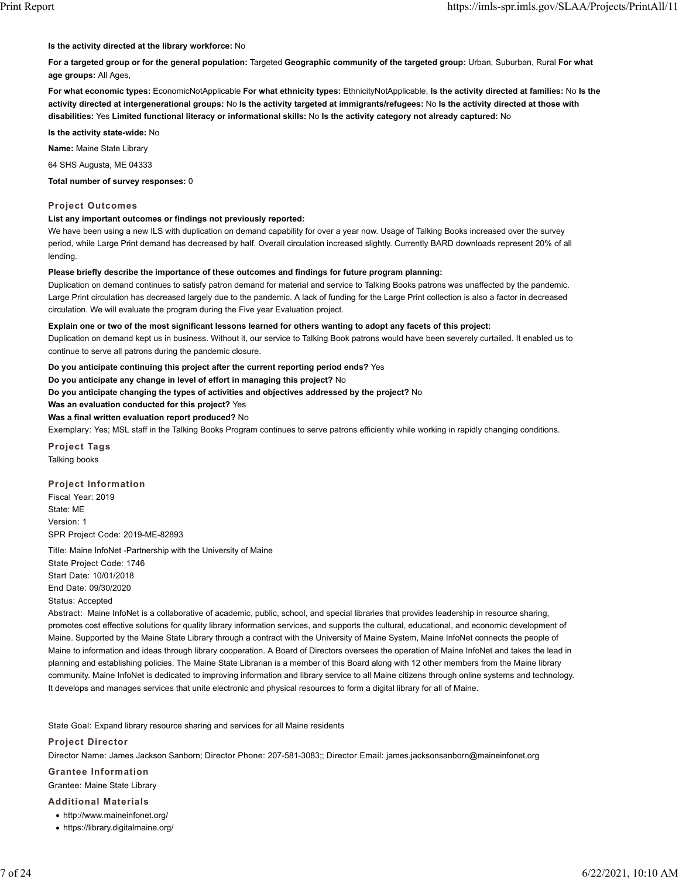#### **Is the activity directed at the library workforce:** No

**For a targeted group or for the general population:** Targeted **Geographic community of the targeted group:** Urban, Suburban, Rural **For what age groups:** All Ages,

**For what economic types:** EconomicNotApplicable **For what ethnicity types:** EthnicityNotApplicable, **Is the activity directed at families:** No **Is the activity directed at intergenerational groups:** No **Is the activity targeted at immigrants/refugees:** No **Is the activity directed at those with disabilities:** Yes **Limited functional literacy or informational skills:** No **Is the activity category not already captured:** No

**Is the activity state-wide:** No

**Name:** Maine State Library

64 SHS Augusta, ME 04333

**Total number of survey responses:** 0

### **Project Outcomes**

#### **List any important outcomes or findings not previously reported:**

We have been using a new ILS with duplication on demand capability for over a year now. Usage of Talking Books increased over the survey period, while Large Print demand has decreased by half. Overall circulation increased slightly. Currently BARD downloads represent 20% of all lending.

### **Please briefly describe the importance of these outcomes and findings for future program planning:**

Duplication on demand continues to satisfy patron demand for material and service to Talking Books patrons was unaffected by the pandemic. Large Print circulation has decreased largely due to the pandemic. A lack of funding for the Large Print collection is also a factor in decreased circulation. We will evaluate the program during the Five year Evaluation project.

#### **Explain one or two of the most significant lessons learned for others wanting to adopt any facets of this project:**

Duplication on demand kept us in business. Without it, our service to Talking Book patrons would have been severely curtailed. It enabled us to continue to serve all patrons during the pandemic closure.

**Do you anticipate continuing this project after the current reporting period ends?** Yes

**Do you anticipate any change in level of effort in managing this project?** No

**Do you anticipate changing the types of activities and objectives addressed by the project?** No

**Was an evaluation conducted for this project?** Yes

**Was a final written evaluation report produced?** No

Exemplary: Yes; MSL staff in the Talking Books Program continues to serve patrons efficiently while working in rapidly changing conditions.

**Project Tags** Talking books

### **Project Information**

Fiscal Year: 2019 State: ME Version: 1 SPR Project Code: 2019-ME-82893

Title: Maine InfoNet -Partnership with the University of Maine State Project Code: 1746 Start Date: 10/01/2018 End Date: 09/30/2020 Status: Accepted

Abstract: Maine InfoNet is a collaborative of academic, public, school, and special libraries that provides leadership in resource sharing, promotes cost effective solutions for quality library information services, and supports the cultural, educational, and economic development of Maine. Supported by the Maine State Library through a contract with the University of Maine System, Maine InfoNet connects the people of Maine to information and ideas through library cooperation. A Board of Directors oversees the operation of Maine InfoNet and takes the lead in planning and establishing policies. The Maine State Librarian is a member of this Board along with 12 other members from the Maine library community. Maine InfoNet is dedicated to improving information and library service to all Maine citizens through online systems and technology. It develops and manages services that unite electronic and physical resources to form a digital library for all of Maine.

State Goal: Expand library resource sharing and services for all Maine residents

#### **Project Director**

Director Name: James Jackson Sanborn; Director Phone: 207-581-3083;; Director Email: james.jacksonsanborn@maineinfonet.org

# **Grantee Information**

Grantee: Maine State Library

## **Additional Materials**

- $\bullet$  http://www.maineinfonet.org/
- https://library.digitalmaine.org/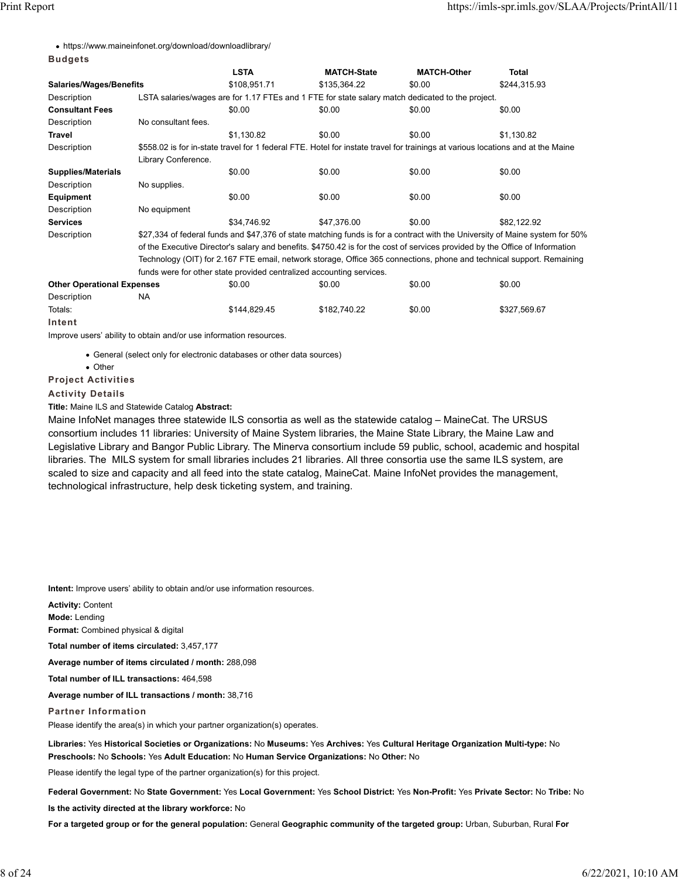**Budgets**

| • https://www.maineinfonet.org/download/downloadlibrary/ |
|----------------------------------------------------------|
|----------------------------------------------------------|

| buuyets                           |                                                                                                                              |                                                                                                                                 |                                                                                                  |                    |              |  |  |  |
|-----------------------------------|------------------------------------------------------------------------------------------------------------------------------|---------------------------------------------------------------------------------------------------------------------------------|--------------------------------------------------------------------------------------------------|--------------------|--------------|--|--|--|
|                                   |                                                                                                                              | <b>LSTA</b>                                                                                                                     | <b>MATCH-State</b>                                                                               | <b>MATCH-Other</b> | Total        |  |  |  |
| <b>Salaries/Wages/Benefits</b>    |                                                                                                                              | \$108,951.71                                                                                                                    | \$135,364.22                                                                                     | \$0.00             | \$244,315.93 |  |  |  |
| Description                       |                                                                                                                              |                                                                                                                                 | LSTA salaries/wages are for 1.17 FTEs and 1 FTE for state salary match dedicated to the project. |                    |              |  |  |  |
| <b>Consultant Fees</b>            |                                                                                                                              | \$0.00                                                                                                                          | \$0.00                                                                                           | \$0.00             | \$0.00       |  |  |  |
| Description                       | No consultant fees.                                                                                                          |                                                                                                                                 |                                                                                                  |                    |              |  |  |  |
| Travel                            |                                                                                                                              | \$1,130.82                                                                                                                      | \$0.00                                                                                           | \$0.00             | \$1,130.82   |  |  |  |
| Description                       |                                                                                                                              | \$558.02 is for in-state travel for 1 federal FTE. Hotel for instate travel for trainings at various locations and at the Maine |                                                                                                  |                    |              |  |  |  |
|                                   | Library Conference.                                                                                                          |                                                                                                                                 |                                                                                                  |                    |              |  |  |  |
| <b>Supplies/Materials</b>         |                                                                                                                              | \$0.00                                                                                                                          | \$0.00                                                                                           | \$0.00             | \$0.00       |  |  |  |
| Description                       | No supplies.                                                                                                                 |                                                                                                                                 |                                                                                                  |                    |              |  |  |  |
| Equipment                         |                                                                                                                              | \$0.00                                                                                                                          | \$0.00                                                                                           | \$0.00             | \$0.00       |  |  |  |
| Description                       | No equipment                                                                                                                 |                                                                                                                                 |                                                                                                  |                    |              |  |  |  |
| <b>Services</b>                   |                                                                                                                              | \$34.746.92                                                                                                                     | \$47,376.00                                                                                      | \$0.00             | \$82,122.92  |  |  |  |
| Description                       | \$27,334 of federal funds and \$47,376 of state matching funds is for a contract with the University of Maine system for 50% |                                                                                                                                 |                                                                                                  |                    |              |  |  |  |
|                                   | of the Executive Director's salary and benefits. \$4750.42 is for the cost of services provided by the Office of Information |                                                                                                                                 |                                                                                                  |                    |              |  |  |  |
|                                   | Technology (OIT) for 2.167 FTE email, network storage, Office 365 connections, phone and technical support. Remaining        |                                                                                                                                 |                                                                                                  |                    |              |  |  |  |
|                                   | funds were for other state provided centralized accounting services.                                                         |                                                                                                                                 |                                                                                                  |                    |              |  |  |  |
| <b>Other Operational Expenses</b> |                                                                                                                              | \$0.00                                                                                                                          | \$0.00                                                                                           | \$0.00             | \$0.00       |  |  |  |
| Description                       | NA                                                                                                                           |                                                                                                                                 |                                                                                                  |                    |              |  |  |  |
| Totals:                           |                                                                                                                              | \$144,829.45                                                                                                                    | \$182,740.22                                                                                     | \$0.00             | \$327,569.67 |  |  |  |

Improve users' ability to obtain and/or use information resources.

General (select only for electronic databases or other data sources)

Other

**Project Activities**

**Intent**

**Activity Details**

**Title:** Maine ILS and Statewide Catalog **Abstract:**

Maine InfoNet manages three statewide ILS consortia as well as the statewide catalog – MaineCat. The URSUS consortium includes 11 libraries: University of Maine System libraries, the Maine State Library, the Maine Law and Legislative Library and Bangor Public Library. The Minerva consortium include 59 public, school, academic and hospital libraries. The MILS system for small libraries includes 21 libraries. All three consortia use the same ILS system, are scaled to size and capacity and all feed into the state catalog, MaineCat. Maine InfoNet provides the management, technological infrastructure, help desk ticketing system, and training.

**Intent:** Improve users' ability to obtain and/or use information resources.

**Activity:** Content

**Mode:** Lending

**Format:** Combined physical & digital

**Total number of items circulated:** 3,457,177

**Average number of items circulated / month:** 288,098

**Total number of ILL transactions:** 464,598

**Average number of ILL transactions / month:** 38,716

**Partner Information**

Please identify the area(s) in which your partner organization(s) operates.

**Libraries:** Yes **Historical Societies or Organizations:** No **Museums:** Yes **Archives:** Yes **Cultural Heritage Organization Multi-type:** No **Preschools:** No **Schools:** Yes **Adult Education:** No **Human Service Organizations:** No **Other:** No

Please identify the legal type of the partner organization(s) for this project.

**Federal Government:** No **State Government:** Yes **Local Government:** Yes **School District:** Yes **Non-Profit:** Yes **Private Sector:** No **Tribe:** No

**Is the activity directed at the library workforce:** No

**For a targeted group or for the general population:** General **Geographic community of the targeted group:** Urban, Suburban, Rural **For**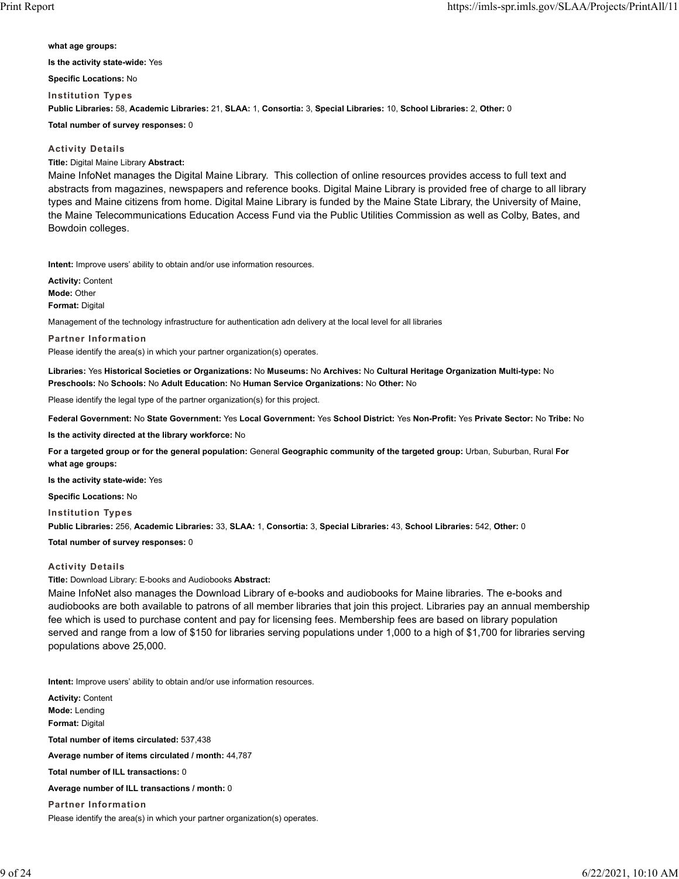**what age groups: Is the activity state-wide:** Yes

**Specific Locations:** No

**Institution Types Public Libraries:** 58, **Academic Libraries:** 21, **SLAA:** 1, **Consortia:** 3, **Special Libraries:** 10, **School Libraries:** 2, **Other:** 0

**Total number of survey responses:** 0

## **Activity Details**

**Title:** Digital Maine Library **Abstract:**

Maine InfoNet manages the Digital Maine Library. This collection of online resources provides access to full text and abstracts from magazines, newspapers and reference books. Digital Maine Library is provided free of charge to all library types and Maine citizens from home. Digital Maine Library is funded by the Maine State Library, the University of Maine, the Maine Telecommunications Education Access Fund via the Public Utilities Commission as well as Colby, Bates, and Bowdoin colleges.

**Intent:** Improve users' ability to obtain and/or use information resources.

**Activity:** Content **Mode:** Other **Format:** Digital

Management of the technology infrastructure for authentication adn delivery at the local level for all libraries

**Partner Information** Please identify the area(s) in which your partner organization(s) operates.

**Libraries:** Yes **Historical Societies or Organizations:** No **Museums:** No **Archives:** No **Cultural Heritage Organization Multi-type:** No **Preschools:** No **Schools:** No **Adult Education:** No **Human Service Organizations:** No **Other:** No

Please identify the legal type of the partner organization(s) for this project.

**Federal Government:** No **State Government:** Yes **Local Government:** Yes **School District:** Yes **Non-Profit:** Yes **Private Sector:** No **Tribe:** No

**Is the activity directed at the library workforce:** No

**For a targeted group or for the general population:** General **Geographic community of the targeted group:** Urban, Suburban, Rural **For what age groups:**

**Is the activity state-wide:** Yes

**Specific Locations:** No

**Institution Types**

**Public Libraries:** 256, **Academic Libraries:** 33, **SLAA:** 1, **Consortia:** 3, **Special Libraries:** 43, **School Libraries:** 542, **Other:** 0

**Total number of survey responses:** 0

## **Activity Details**

**Title:** Download Library: E-books and Audiobooks **Abstract:**

Maine InfoNet also manages the Download Library of e-books and audiobooks for Maine libraries. The e-books and audiobooks are both available to patrons of all member libraries that join this project. Libraries pay an annual membership fee which is used to purchase content and pay for licensing fees. Membership fees are based on library population served and range from a low of \$150 for libraries serving populations under 1,000 to a high of \$1,700 for libraries serving populations above 25,000.

**Intent:** Improve users' ability to obtain and/or use information resources.

**Activity:** Content **Mode:** Lending **Format:** Digital **Total number of items circulated:** 537,438 **Average number of items circulated / month:** 44,787 **Total number of ILL transactions:** 0 **Average number of ILL transactions / month:** 0 **Partner Information** Please identify the area(s) in which your partner organization(s) operates.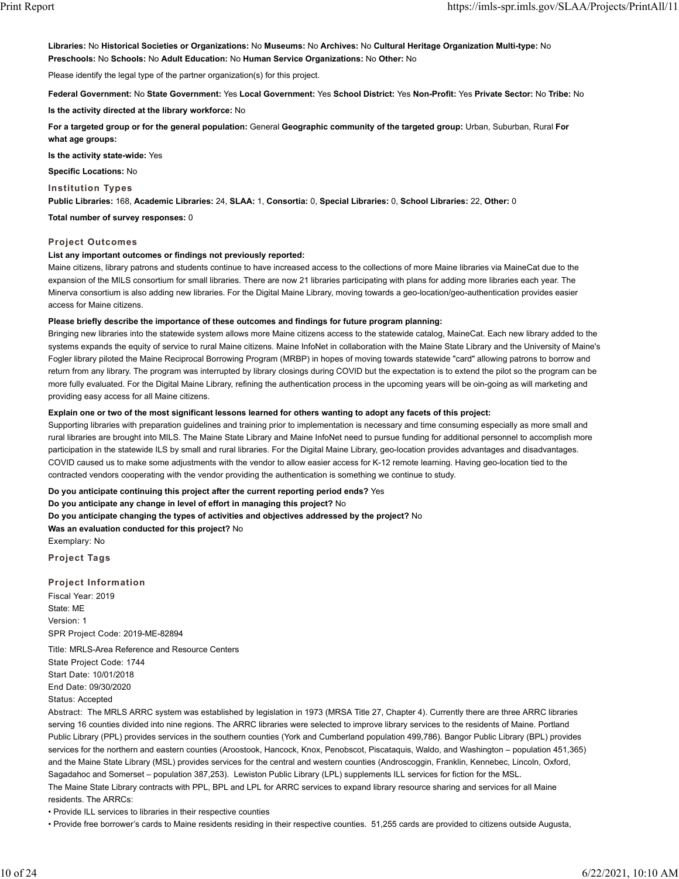**Libraries:** No **Historical Societies or Organizations:** No **Museums:** No **Archives:** No **Cultural Heritage Organization Multi-type:** No **Preschools:** No **Schools:** No **Adult Education:** No **Human Service Organizations:** No **Other:** No

Please identify the legal type of the partner organization(s) for this project.

**Federal Government:** No **State Government:** Yes **Local Government:** Yes **School District:** Yes **Non-Profit:** Yes **Private Sector:** No **Tribe:** No

**Is the activity directed at the library workforce:** No

**For a targeted group or for the general population:** General **Geographic community of the targeted group:** Urban, Suburban, Rural **For what age groups:**

**Is the activity state-wide:** Yes

**Specific Locations:** No

**Institution Types**

**Public Libraries:** 168, **Academic Libraries:** 24, **SLAA:** 1, **Consortia:** 0, **Special Libraries:** 0, **School Libraries:** 22, **Other:** 0

**Total number of survey responses:** 0

### **Project Outcomes**

### **List any important outcomes or findings not previously reported:**

Maine citizens, library patrons and students continue to have increased access to the collections of more Maine libraries via MaineCat due to the expansion of the MILS consortium for small libraries. There are now 21 libraries participating with plans for adding more libraries each year. The Minerva consortium is also adding new libraries. For the Digital Maine Library, moving towards a geo-location/geo-authentication provides easier access for Maine citizens.

#### **Please briefly describe the importance of these outcomes and findings for future program planning:**

Bringing new libraries into the statewide system allows more Maine citizens access to the statewide catalog, MaineCat. Each new library added to the systems expands the equity of service to rural Maine citizens. Maine InfoNet in collaboration with the Maine State Library and the University of Maine's Fogler library piloted the Maine Reciprocal Borrowing Program (MRBP) in hopes of moving towards statewide "card" allowing patrons to borrow and return from any library. The program was interrupted by library closings during COVID but the expectation is to extend the pilot so the program can be more fully evaluated. For the Digital Maine Library, refining the authentication process in the upcoming years will be oin-going as will marketing and providing easy access for all Maine citizens.

#### **Explain one or two of the most significant lessons learned for others wanting to adopt any facets of this project:**

Supporting libraries with preparation guidelines and training prior to implementation is necessary and time consuming especially as more small and rural libraries are brought into MILS. The Maine State Library and Maine InfoNet need to pursue funding for additional personnel to accomplish more participation in the statewide ILS by small and rural libraries. For the Digital Maine Library, geo-location provides advantages and disadvantages. COVID caused us to make some adjustments with the vendor to allow easier access for K-12 remote learning. Having geo-location tied to the contracted vendors cooperating with the vendor providing the authentication is something we continue to study.

**Do you anticipate continuing this project after the current reporting period ends?** Yes **Do you anticipate any change in level of effort in managing this project?** No **Do you anticipate changing the types of activities and objectives addressed by the project?** No

**Was an evaluation conducted for this project?** No

Exemplary: No

**Project Tags**

**Project Information**

Fiscal Year: 2019 State: ME Version: 1 SPR Project Code: 2019-ME-82894

Title: MRLS-Area Reference and Resource Centers State Project Code: 1744 Start Date: 10/01/2018 End Date: 09/30/2020 Status: Accepted

Abstract: The MRLS ARRC system was established by legislation in 1973 (MRSA Title 27, Chapter 4). Currently there are three ARRC libraries serving 16 counties divided into nine regions. The ARRC libraries were selected to improve library services to the residents of Maine. Portland Public Library (PPL) provides services in the southern counties (York and Cumberland population 499,786). Bangor Public Library (BPL) provides services for the northern and eastern counties (Aroostook, Hancock, Knox, Penobscot, Piscataquis, Waldo, and Washington – population 451,365) and the Maine State Library (MSL) provides services for the central and western counties (Androscoggin, Franklin, Kennebec, Lincoln, Oxford, Sagadahoc and Somerset – population 387,253). Lewiston Public Library (LPL) supplements ILL services for fiction for the MSL. The Maine State Library contracts with PPL, BPL and LPL for ARRC services to expand library resource sharing and services for all Maine residents. The ARRCs:

• Provide ILL services to libraries in their respective counties

• Provide free borrower's cards to Maine residents residing in their respective counties. 51,255 cards are provided to citizens outside Augusta,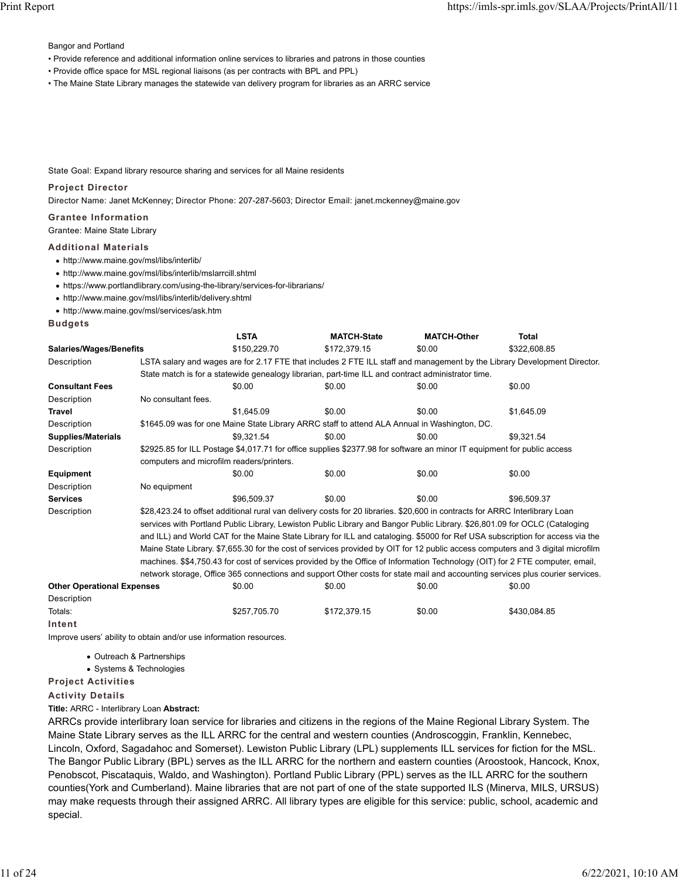Bangor and Portland

- Provide reference and additional information online services to libraries and patrons in those counties
- Provide office space for MSL regional liaisons (as per contracts with BPL and PPL)
- The Maine State Library manages the statewide van delivery program for libraries as an ARRC service

State Goal: Expand library resource sharing and services for all Maine residents

## **Project Director**

Director Name: Janet McKenney; Director Phone: 207-287-5603; Director Email: janet.mckenney@maine.gov

## **Grantee Information**

Grantee: Maine State Library

## **Additional Materials**

- http://www.maine.gov/msl/libs/interlib/
- http://www.maine.gov/msl/libs/interlib/mslarrcill.shtml
- https://www.portlandlibrary.com/using-the-library/services-for-librarians/
- http://www.maine.gov/msl/libs/interlib/delivery.shtml
- http://www.maine.gov/msl/services/ask.htm

**Budgets**

|                                   |                                                                                                                                 | <b>LSTA</b>                                                                                        | <b>MATCH-State</b> | <b>MATCH-Other</b> | <b>Total</b>                                                                                                             |  |  |
|-----------------------------------|---------------------------------------------------------------------------------------------------------------------------------|----------------------------------------------------------------------------------------------------|--------------------|--------------------|--------------------------------------------------------------------------------------------------------------------------|--|--|
| <b>Salaries/Wages/Benefits</b>    |                                                                                                                                 | \$150,229.70                                                                                       | \$172,379.15       | \$0.00             | \$322,608.85                                                                                                             |  |  |
| Description                       |                                                                                                                                 |                                                                                                    |                    |                    | LSTA salary and wages are for 2.17 FTE that includes 2 FTE ILL staff and management by the Library Development Director. |  |  |
|                                   |                                                                                                                                 | State match is for a statewide genealogy librarian, part-time ILL and contract administrator time. |                    |                    |                                                                                                                          |  |  |
| <b>Consultant Fees</b>            |                                                                                                                                 | \$0.00                                                                                             | \$0.00             | \$0.00             | \$0.00                                                                                                                   |  |  |
| Description                       | No consultant fees.                                                                                                             |                                                                                                    |                    |                    |                                                                                                                          |  |  |
| <b>Travel</b>                     |                                                                                                                                 | \$1,645.09                                                                                         | \$0.00             | \$0.00             | \$1,645.09                                                                                                               |  |  |
| Description                       |                                                                                                                                 | \$1645.09 was for one Maine State Library ARRC staff to attend ALA Annual in Washington, DC.       |                    |                    |                                                                                                                          |  |  |
| <b>Supplies/Materials</b>         |                                                                                                                                 | \$9.321.54                                                                                         | \$0.00             | \$0.00             | \$9.321.54                                                                                                               |  |  |
| Description                       | \$2925.85 for ILL Postage \$4,017.71 for office supplies \$2377.98 for software an minor IT equipment for public access         |                                                                                                    |                    |                    |                                                                                                                          |  |  |
|                                   | computers and microfilm readers/printers.                                                                                       |                                                                                                    |                    |                    |                                                                                                                          |  |  |
| <b>Equipment</b>                  |                                                                                                                                 | \$0.00                                                                                             | \$0.00             | \$0.00             | \$0.00                                                                                                                   |  |  |
| Description                       | No equipment                                                                                                                    |                                                                                                    |                    |                    |                                                                                                                          |  |  |
| <b>Services</b>                   |                                                                                                                                 | \$96,509.37                                                                                        | \$0.00             | \$0.00             | \$96.509.37                                                                                                              |  |  |
| Description                       | \$28,423.24 to offset additional rural van delivery costs for 20 libraries. \$20,600 in contracts for ARRC Interlibrary Loan    |                                                                                                    |                    |                    |                                                                                                                          |  |  |
|                                   | services with Portland Public Library, Lewiston Public Library and Bangor Public Library. \$26,801.09 for OCLC (Cataloging      |                                                                                                    |                    |                    |                                                                                                                          |  |  |
|                                   | and ILL) and World CAT for the Maine State Library for ILL and cataloging. \$5000 for Ref USA subscription for access via the   |                                                                                                    |                    |                    |                                                                                                                          |  |  |
|                                   | Maine State Library. \$7,655.30 for the cost of services provided by OIT for 12 public access computers and 3 digital microfilm |                                                                                                    |                    |                    |                                                                                                                          |  |  |
|                                   | machines. \$\$4,750.43 for cost of services provided by the Office of Information Technology (OIT) for 2 FTE computer, email,   |                                                                                                    |                    |                    |                                                                                                                          |  |  |
|                                   | network storage, Office 365 connections and support Other costs for state mail and accounting services plus courier services.   |                                                                                                    |                    |                    |                                                                                                                          |  |  |
| <b>Other Operational Expenses</b> |                                                                                                                                 | \$0.00                                                                                             | \$0.00             | \$0.00             | \$0.00                                                                                                                   |  |  |
| Description                       |                                                                                                                                 |                                                                                                    |                    |                    |                                                                                                                          |  |  |
| Totals:                           |                                                                                                                                 | \$257,705.70                                                                                       | \$172,379.15       | \$0.00             | \$430.084.85                                                                                                             |  |  |

**Intent**

Improve users' ability to obtain and/or use information resources.

- Outreach & Partnerships
- Systems & Technologies

**Project Activities**

### **Activity Details**

**Title:** ARRC - Interlibrary Loan **Abstract:**

ARRCs provide interlibrary loan service for libraries and citizens in the regions of the Maine Regional Library System. The Maine State Library serves as the ILL ARRC for the central and western counties (Androscoggin, Franklin, Kennebec, Lincoln, Oxford, Sagadahoc and Somerset). Lewiston Public Library (LPL) supplements ILL services for fiction for the MSL. The Bangor Public Library (BPL) serves as the ILL ARRC for the northern and eastern counties (Aroostook, Hancock, Knox, Penobscot, Piscataquis, Waldo, and Washington). Portland Public Library (PPL) serves as the ILL ARRC for the southern counties(York and Cumberland). Maine libraries that are not part of one of the state supported ILS (Minerva, MILS, URSUS) may make requests through their assigned ARRC. All library types are eligible for this service: public, school, academic and special.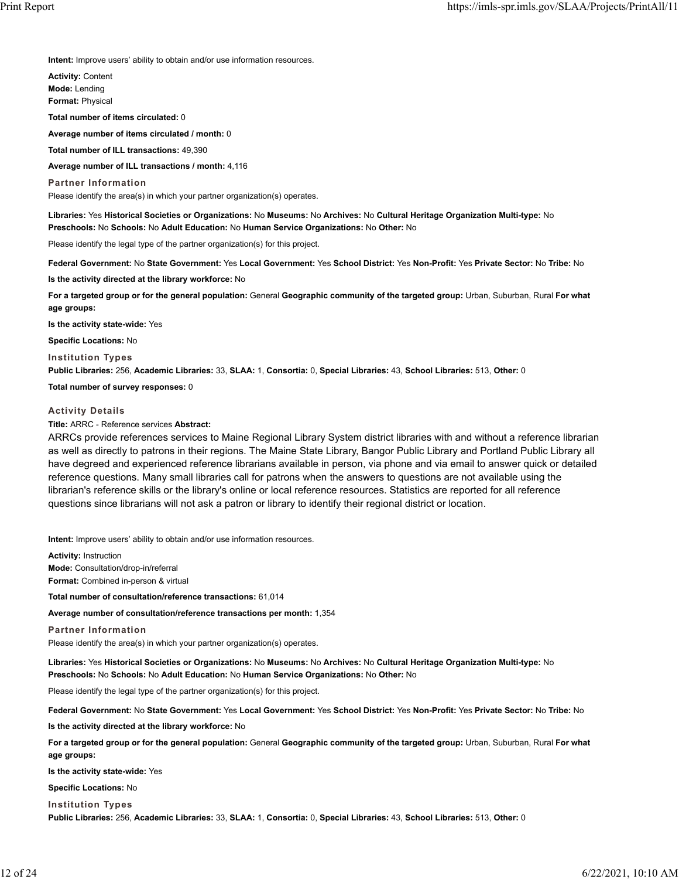**Intent:** Improve users' ability to obtain and/or use information resources.

**Activity:** Content **Mode:** Lending **Format:** Physical

**Total number of items circulated:** 0

**Average number of items circulated / month:** 0

**Total number of ILL transactions:** 49,390

**Average number of ILL transactions / month:** 4,116

**Partner Information** Please identify the area(s) in which your partner organization(s) operates.

**Libraries:** Yes **Historical Societies or Organizations:** No **Museums:** No **Archives:** No **Cultural Heritage Organization Multi-type:** No **Preschools:** No **Schools:** No **Adult Education:** No **Human Service Organizations:** No **Other:** No

Please identify the legal type of the partner organization(s) for this project.

**Federal Government:** No **State Government:** Yes **Local Government:** Yes **School District:** Yes **Non-Profit:** Yes **Private Sector:** No **Tribe:** No

**Is the activity directed at the library workforce:** No

**For a targeted group or for the general population:** General **Geographic community of the targeted group:** Urban, Suburban, Rural **For what age groups:**

**Is the activity state-wide:** Yes

**Specific Locations:** No

**Institution Types**

**Public Libraries:** 256, **Academic Libraries:** 33, **SLAA:** 1, **Consortia:** 0, **Special Libraries:** 43, **School Libraries:** 513, **Other:** 0

**Total number of survey responses:** 0

#### **Activity Details**

**Title:** ARRC - Reference services **Abstract:**

ARRCs provide references services to Maine Regional Library System district libraries with and without a reference librarian as well as directly to patrons in their regions. The Maine State Library, Bangor Public Library and Portland Public Library all have degreed and experienced reference librarians available in person, via phone and via email to answer quick or detailed reference questions. Many small libraries call for patrons when the answers to questions are not available using the librarian's reference skills or the library's online or local reference resources. Statistics are reported for all reference questions since librarians will not ask a patron or library to identify their regional district or location.

**Intent:** Improve users' ability to obtain and/or use information resources.

**Activity:** Instruction **Mode:** Consultation/drop-in/referral **Format:** Combined in-person & virtual

**Total number of consultation/reference transactions:** 61,014

**Average number of consultation/reference transactions per month:** 1,354

**Partner Information**

Please identify the area(s) in which your partner organization(s) operates.

**Libraries:** Yes **Historical Societies or Organizations:** No **Museums:** No **Archives:** No **Cultural Heritage Organization Multi-type:** No **Preschools:** No **Schools:** No **Adult Education:** No **Human Service Organizations:** No **Other:** No

Please identify the legal type of the partner organization(s) for this project.

**Federal Government:** No **State Government:** Yes **Local Government:** Yes **School District:** Yes **Non-Profit:** Yes **Private Sector:** No **Tribe:** No

**Is the activity directed at the library workforce:** No

**For a targeted group or for the general population:** General **Geographic community of the targeted group:** Urban, Suburban, Rural **For what age groups:**

**Is the activity state-wide:** Yes

**Specific Locations:** No

**Institution Types**

**Public Libraries:** 256, **Academic Libraries:** 33, **SLAA:** 1, **Consortia:** 0, **Special Libraries:** 43, **School Libraries:** 513, **Other:** 0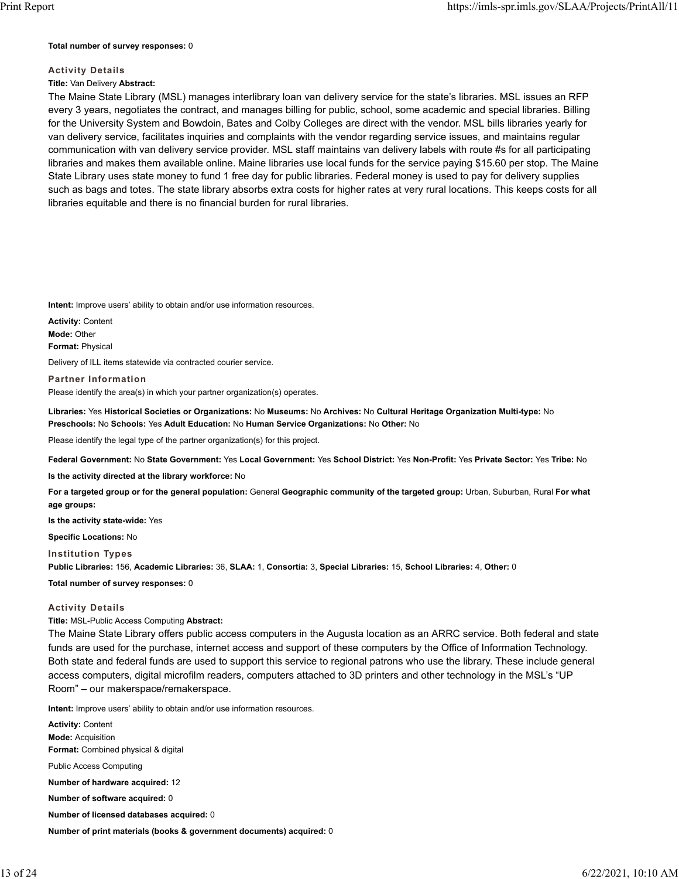#### **Total number of survey responses:** 0

## **Activity Details**

## **Title:** Van Delivery **Abstract:**

The Maine State Library (MSL) manages interlibrary loan van delivery service for the state's libraries. MSL issues an RFP every 3 years, negotiates the contract, and manages billing for public, school, some academic and special libraries. Billing for the University System and Bowdoin, Bates and Colby Colleges are direct with the vendor. MSL bills libraries yearly for van delivery service, facilitates inquiries and complaints with the vendor regarding service issues, and maintains regular communication with van delivery service provider. MSL staff maintains van delivery labels with route #s for all participating libraries and makes them available online. Maine libraries use local funds for the service paying \$15.60 per stop. The Maine State Library uses state money to fund 1 free day for public libraries. Federal money is used to pay for delivery supplies such as bags and totes. The state library absorbs extra costs for higher rates at very rural locations. This keeps costs for all libraries equitable and there is no financial burden for rural libraries.

**Intent:** Improve users' ability to obtain and/or use information resources.

**Activity:** Content **Mode:** Other **Format:** Physical

Delivery of ILL items statewide via contracted courier service.

### **Partner Information**

Please identify the area(s) in which your partner organization(s) operates.

**Libraries:** Yes **Historical Societies or Organizations:** No **Museums:** No **Archives:** No **Cultural Heritage Organization Multi-type:** No **Preschools:** No **Schools:** Yes **Adult Education:** No **Human Service Organizations:** No **Other:** No

Please identify the legal type of the partner organization(s) for this project.

**Federal Government:** No **State Government:** Yes **Local Government:** Yes **School District:** Yes **Non-Profit:** Yes **Private Sector:** Yes **Tribe:** No

**Is the activity directed at the library workforce:** No

**For a targeted group or for the general population:** General **Geographic community of the targeted group:** Urban, Suburban, Rural **For what age groups:**

**Is the activity state-wide:** Yes

**Specific Locations:** No

**Institution Types**

**Public Libraries:** 156, **Academic Libraries:** 36, **SLAA:** 1, **Consortia:** 3, **Special Libraries:** 15, **School Libraries:** 4, **Other:** 0

#### **Total number of survey responses:** 0

#### **Activity Details**

### **Title:** MSL-Public Access Computing **Abstract:**

The Maine State Library offers public access computers in the Augusta location as an ARRC service. Both federal and state funds are used for the purchase, internet access and support of these computers by the Office of Information Technology. Both state and federal funds are used to support this service to regional patrons who use the library. These include general access computers, digital microfilm readers, computers attached to 3D printers and other technology in the MSL's "UP Room" – our makerspace/remakerspace.

**Intent:** Improve users' ability to obtain and/or use information resources.

**Activity:** Content **Mode:** Acquisition **Format:** Combined physical & digital Public Access Computing **Number of hardware acquired:** 12 **Number of software acquired:** 0

**Number of licensed databases acquired:** 0

**Number of print materials (books & government documents) acquired:** 0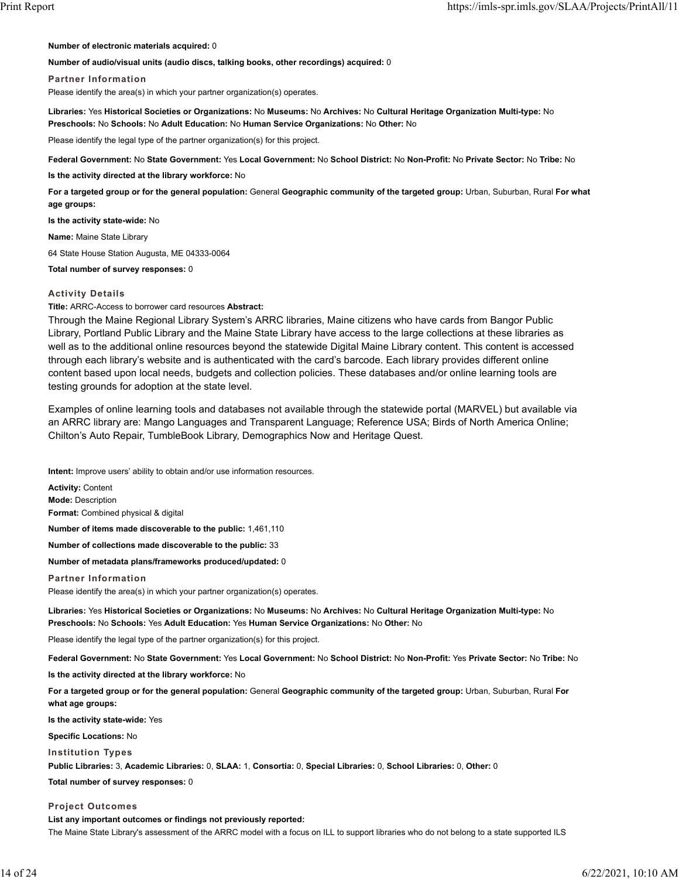#### **Number of electronic materials acquired:** 0

#### **Number of audio/visual units (audio discs, talking books, other recordings) acquired:** 0

#### **Partner Information**

Please identify the area(s) in which your partner organization(s) operates.

**Libraries:** Yes **Historical Societies or Organizations:** No **Museums:** No **Archives:** No **Cultural Heritage Organization Multi-type:** No **Preschools:** No **Schools:** No **Adult Education:** No **Human Service Organizations:** No **Other:** No

Please identify the legal type of the partner organization(s) for this project.

**Federal Government:** No **State Government:** Yes **Local Government:** No **School District:** No **Non-Profit:** No **Private Sector:** No **Tribe:** No

**Is the activity directed at the library workforce:** No

**For a targeted group or for the general population:** General **Geographic community of the targeted group:** Urban, Suburban, Rural **For what age groups:**

**Is the activity state-wide:** No

**Name:** Maine State Library

64 State House Station Augusta, ME 04333-0064

**Total number of survey responses:** 0

#### **Activity Details**

**Title:** ARRC-Access to borrower card resources **Abstract:**

Through the Maine Regional Library System's ARRC libraries, Maine citizens who have cards from Bangor Public Library, Portland Public Library and the Maine State Library have access to the large collections at these libraries as well as to the additional online resources beyond the statewide Digital Maine Library content. This content is accessed through each library's website and is authenticated with the card's barcode. Each library provides different online content based upon local needs, budgets and collection policies. These databases and/or online learning tools are testing grounds for adoption at the state level.

Examples of online learning tools and databases not available through the statewide portal (MARVEL) but available via an ARRC library are: Mango Languages and Transparent Language; Reference USA; Birds of North America Online; Chilton's Auto Repair, TumbleBook Library, Demographics Now and Heritage Quest.

**Intent:** Improve users' ability to obtain and/or use information resources.

**Activity:** Content **Mode:** Description **Format:** Combined physical & digital **Number of items made discoverable to the public:** 1,461,110 **Number of collections made discoverable to the public:** 33 **Number of metadata plans/frameworks produced/updated:** 0

**Partner Information**

Please identify the area(s) in which your partner organization(s) operates.

**Libraries:** Yes **Historical Societies or Organizations:** No **Museums:** No **Archives:** No **Cultural Heritage Organization Multi-type:** No **Preschools:** No **Schools:** Yes **Adult Education:** Yes **Human Service Organizations:** No **Other:** No

Please identify the legal type of the partner organization(s) for this project.

**Federal Government:** No **State Government:** Yes **Local Government:** No **School District:** No **Non-Profit:** Yes **Private Sector:** No **Tribe:** No

**Is the activity directed at the library workforce:** No

**For a targeted group or for the general population:** General **Geographic community of the targeted group:** Urban, Suburban, Rural **For what age groups:**

**Is the activity state-wide:** Yes

**Specific Locations:** No

**Institution Types**

**Public Libraries:** 3, **Academic Libraries:** 0, **SLAA:** 1, **Consortia:** 0, **Special Libraries:** 0, **School Libraries:** 0, **Other:** 0

**Total number of survey responses:** 0

**Project Outcomes**

**List any important outcomes or findings not previously reported:**

The Maine State Library's assessment of the ARRC model with a focus on ILL to support libraries who do not belong to a state supported ILS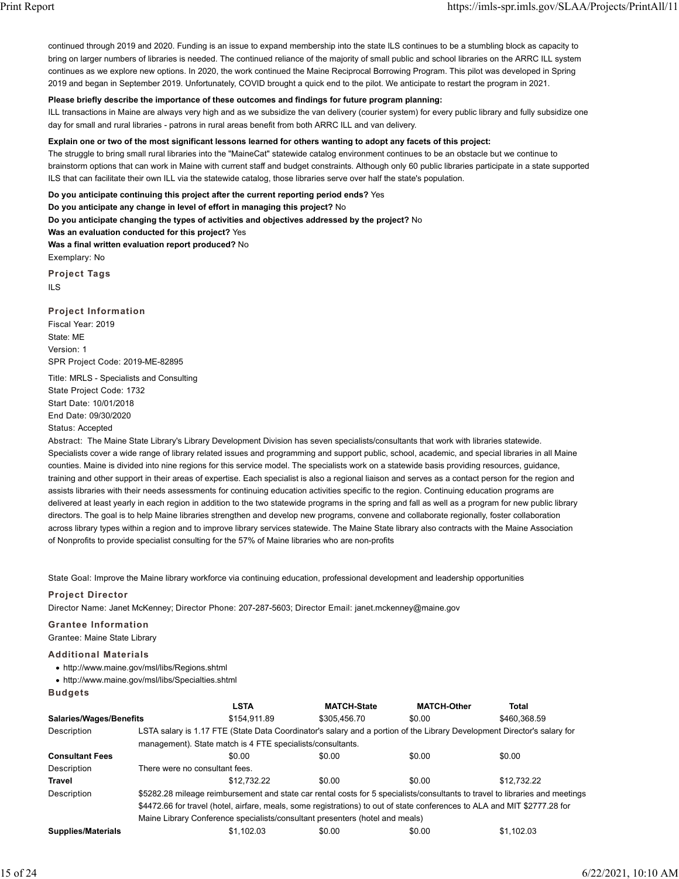continued through 2019 and 2020. Funding is an issue to expand membership into the state ILS continues to be a stumbling block as capacity to bring on larger numbers of libraries is needed. The continued reliance of the majority of small public and school libraries on the ARRC ILL system continues as we explore new options. In 2020, the work continued the Maine Reciprocal Borrowing Program. This pilot was developed in Spring 2019 and began in September 2019. Unfortunately, COVID brought a quick end to the pilot. We anticipate to restart the program in 2021.

### **Please briefly describe the importance of these outcomes and findings for future program planning:**

ILL transactions in Maine are always very high and as we subsidize the van delivery (courier system) for every public library and fully subsidize one day for small and rural libraries - patrons in rural areas benefit from both ARRC ILL and van delivery.

### **Explain one or two of the most significant lessons learned for others wanting to adopt any facets of this project:**

The struggle to bring small rural libraries into the "MaineCat" statewide catalog environment continues to be an obstacle but we continue to brainstorm options that can work in Maine with current staff and budget constraints. Although only 60 public libraries participate in a state supported ILS that can facilitate their own ILL via the statewide catalog, those libraries serve over half the state's population.

**Do you anticipate continuing this project after the current reporting period ends?** Yes **Do you anticipate any change in level of effort in managing this project?** No **Do you anticipate changing the types of activities and objectives addressed by the project?** No **Was an evaluation conducted for this project?** Yes **Was a final written evaluation report produced?** No Exemplary: No

**Project Tags** ILS

**Project Information** Fiscal Year: 2019 State: ME Version: 1 SPR Project Code: 2019-ME-82895

Title: MRLS - Specialists and Consulting State Project Code: 1732 Start Date: 10/01/2018 End Date: 09/30/2020 Status: Accepted

Abstract: The Maine State Library's Library Development Division has seven specialists/consultants that work with libraries statewide. Specialists cover a wide range of library related issues and programming and support public, school, academic, and special libraries in all Maine counties. Maine is divided into nine regions for this service model. The specialists work on a statewide basis providing resources, guidance, training and other support in their areas of expertise. Each specialist is also a regional liaison and serves as a contact person for the region and assists libraries with their needs assessments for continuing education activities specific to the region. Continuing education programs are delivered at least yearly in each region in addition to the two statewide programs in the spring and fall as well as a program for new public library directors. The goal is to help Maine libraries strengthen and develop new programs, convene and collaborate regionally, foster collaboration across library types within a region and to improve library services statewide. The Maine State library also contracts with the Maine Association of Nonprofits to provide specialist consulting for the 57% of Maine libraries who are non-profits

State Goal: Improve the Maine library workforce via continuing education, professional development and leadership opportunities

#### **Project Director**

Director Name: Janet McKenney; Director Phone: 207-287-5603; Director Email: janet.mckenney@maine.gov

## **Grantee Information**

Grantee: Maine State Library

#### **Additional Materials**

http://www.maine.gov/msl/libs/Regions.shtml

http://www.maine.gov/msl/libs/Specialties.shtml

**Budgets**

|                           |                                                                                                                              | <b>LSTA</b>                                                | <b>MATCH-State</b>                                                                                                      | <b>MATCH-Other</b> | Total        |  |  |
|---------------------------|------------------------------------------------------------------------------------------------------------------------------|------------------------------------------------------------|-------------------------------------------------------------------------------------------------------------------------|--------------------|--------------|--|--|
| Salaries/Wages/Benefits   |                                                                                                                              | \$154.911.89                                               | \$305.456.70                                                                                                            | \$0.00             | \$460.368.59 |  |  |
| Description               |                                                                                                                              |                                                            | LSTA salary is 1.17 FTE (State Data Coordinator's salary and a portion of the Library Development Director's salary for |                    |              |  |  |
|                           |                                                                                                                              | management). State match is 4 FTE specialists/consultants. |                                                                                                                         |                    |              |  |  |
| <b>Consultant Fees</b>    |                                                                                                                              | \$0.00                                                     | \$0.00                                                                                                                  | \$0.00             | \$0.00       |  |  |
| Description               | There were no consultant fees.                                                                                               |                                                            |                                                                                                                         |                    |              |  |  |
| <b>Travel</b>             |                                                                                                                              | \$12.732.22                                                | \$0.00                                                                                                                  | \$0.00             | \$12.732.22  |  |  |
| Description               | \$5282.28 mileage reimbursement and state car rental costs for 5 specialists/consultants to travel to libraries and meetings |                                                            |                                                                                                                         |                    |              |  |  |
|                           | \$4472.66 for travel (hotel, airfare, meals, some registrations) to out of state conferences to ALA and MIT \$2777.28 for    |                                                            |                                                                                                                         |                    |              |  |  |
|                           | Maine Library Conference specialists/consultant presenters (hotel and meals)                                                 |                                                            |                                                                                                                         |                    |              |  |  |
| <b>Supplies/Materials</b> |                                                                                                                              | \$1.102.03                                                 | \$0.00                                                                                                                  | \$0.00             | \$1.102.03   |  |  |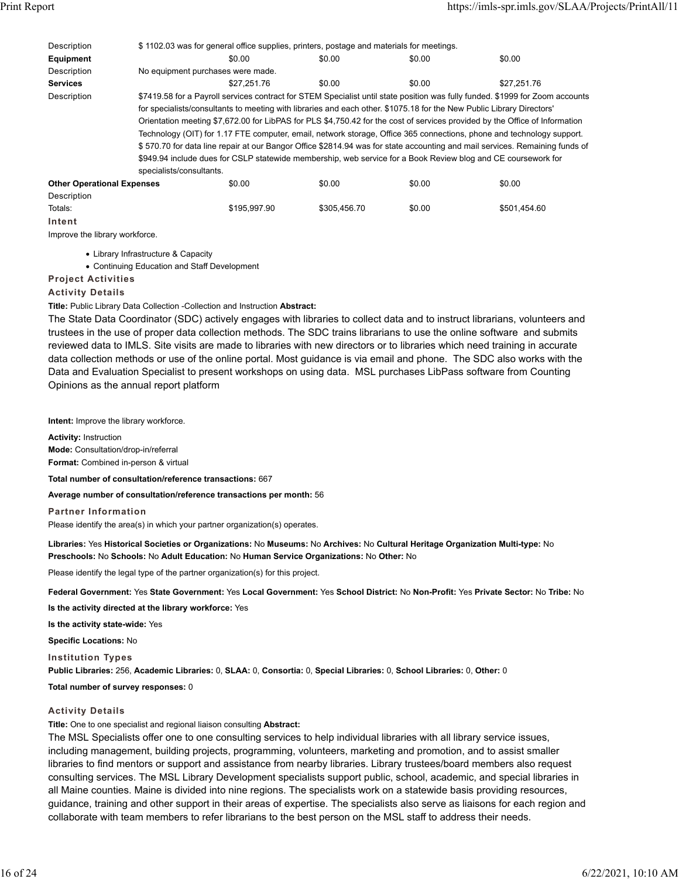| Description                       | \$1102.03 was for general office supplies, printers, postage and materials for meetings.                                    |              |              |                                                                                                                       |                                                                                                                               |  |  |
|-----------------------------------|-----------------------------------------------------------------------------------------------------------------------------|--------------|--------------|-----------------------------------------------------------------------------------------------------------------------|-------------------------------------------------------------------------------------------------------------------------------|--|--|
| Equipment                         |                                                                                                                             | \$0.00       | \$0.00       | \$0.00                                                                                                                | \$0.00                                                                                                                        |  |  |
| Description                       | No equipment purchases were made.                                                                                           |              |              |                                                                                                                       |                                                                                                                               |  |  |
| <b>Services</b>                   |                                                                                                                             | \$27.251.76  | \$0.00       | \$0.00                                                                                                                | \$27.251.76                                                                                                                   |  |  |
| Description                       |                                                                                                                             |              |              |                                                                                                                       | \$7419.58 for a Payroll services contract for STEM Specialist until state position was fully funded. \$1999 for Zoom accounts |  |  |
|                                   |                                                                                                                             |              |              | for specialists/consultants to meeting with libraries and each other. \$1075.18 for the New Public Library Directors' |                                                                                                                               |  |  |
|                                   | Orientation meeting \$7,672.00 for LibPAS for PLS \$4,750.42 for the cost of services provided by the Office of Information |              |              |                                                                                                                       |                                                                                                                               |  |  |
|                                   |                                                                                                                             |              |              | Technology (OIT) for 1.17 FTE computer, email, network storage, Office 365 connections, phone and technology support. |                                                                                                                               |  |  |
|                                   |                                                                                                                             |              |              |                                                                                                                       | \$570.70 for data line repair at our Bangor Office \$2814.94 was for state accounting and mail services. Remaining funds of   |  |  |
|                                   |                                                                                                                             |              |              | \$949.94 include dues for CSLP statewide membership, web service for a Book Review blog and CE coursework for         |                                                                                                                               |  |  |
|                                   | specialists/consultants.                                                                                                    |              |              |                                                                                                                       |                                                                                                                               |  |  |
| <b>Other Operational Expenses</b> |                                                                                                                             | \$0.00       | \$0.00       | \$0.00                                                                                                                | \$0.00                                                                                                                        |  |  |
| Description                       |                                                                                                                             |              |              |                                                                                                                       |                                                                                                                               |  |  |
| Totals:                           |                                                                                                                             | \$195,997.90 | \$305.456.70 | \$0.00                                                                                                                | \$501.454.60                                                                                                                  |  |  |
| Intent                            |                                                                                                                             |              |              |                                                                                                                       |                                                                                                                               |  |  |

Improve the library workforce.

Library Infrastructure & Capacity

Continuing Education and Staff Development

## **Project Activities**

**Activity Details**

**Title:** Public Library Data Collection -Collection and Instruction **Abstract:**

The State Data Coordinator (SDC) actively engages with libraries to collect data and to instruct librarians, volunteers and trustees in the use of proper data collection methods. The SDC trains librarians to use the online software and submits reviewed data to IMLS. Site visits are made to libraries with new directors or to libraries which need training in accurate data collection methods or use of the online portal. Most guidance is via email and phone. The SDC also works with the Data and Evaluation Specialist to present workshops on using data. MSL purchases LibPass software from Counting Opinions as the annual report platform

**Intent:** Improve the library workforce.

**Activity:** Instruction **Mode:** Consultation/drop-in/referral **Format:** Combined in-person & virtual

**Total number of consultation/reference transactions:** 667

**Average number of consultation/reference transactions per month:** 56

**Partner Information**

Please identify the area(s) in which your partner organization(s) operates.

**Libraries:** Yes **Historical Societies or Organizations:** No **Museums:** No **Archives:** No **Cultural Heritage Organization Multi-type:** No **Preschools:** No **Schools:** No **Adult Education:** No **Human Service Organizations:** No **Other:** No

Please identify the legal type of the partner organization(s) for this project.

**Federal Government:** Yes **State Government:** Yes **Local Government:** Yes **School District:** No **Non-Profit:** Yes **Private Sector:** No **Tribe:** No

**Is the activity directed at the library workforce:** Yes

**Is the activity state-wide:** Yes

**Specific Locations:** No

**Institution Types**

**Public Libraries:** 256, **Academic Libraries:** 0, **SLAA:** 0, **Consortia:** 0, **Special Libraries:** 0, **School Libraries:** 0, **Other:** 0

**Total number of survey responses:** 0

#### **Activity Details**

**Title:** One to one specialist and regional liaison consulting **Abstract:**

The MSL Specialists offer one to one consulting services to help individual libraries with all library service issues, including management, building projects, programming, volunteers, marketing and promotion, and to assist smaller libraries to find mentors or support and assistance from nearby libraries. Library trustees/board members also request consulting services. The MSL Library Development specialists support public, school, academic, and special libraries in all Maine counties. Maine is divided into nine regions. The specialists work on a statewide basis providing resources, guidance, training and other support in their areas of expertise. The specialists also serve as liaisons for each region and collaborate with team members to refer librarians to the best person on the MSL staff to address their needs.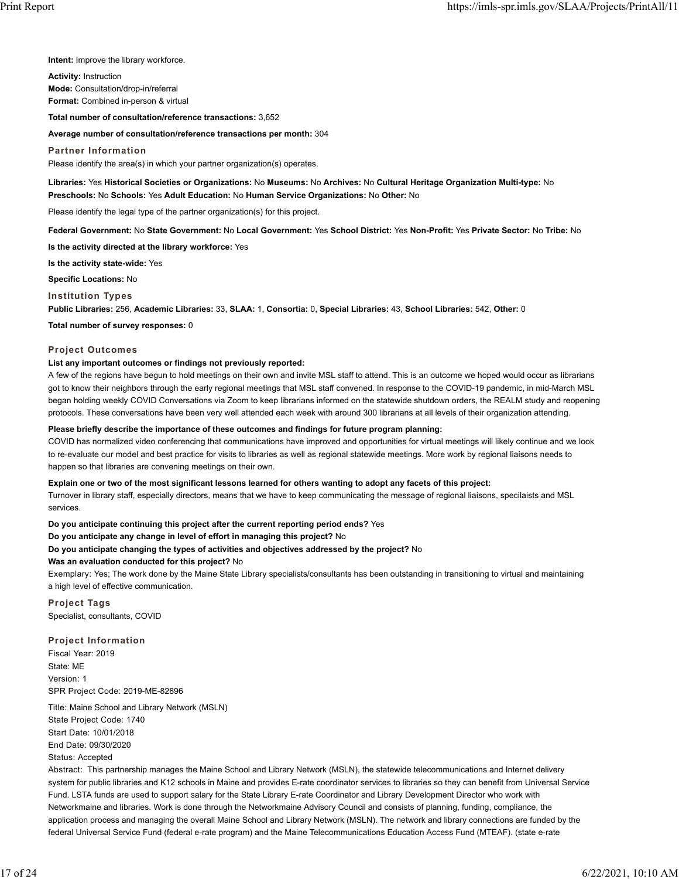**Intent:** Improve the library workforce.

**Activity:** Instruction **Mode:** Consultation/drop-in/referral **Format:** Combined in-person & virtual

**Total number of consultation/reference transactions:** 3,652

#### **Average number of consultation/reference transactions per month:** 304

**Partner Information** Please identify the area(s) in which your partner organization(s) operates.

**Libraries:** Yes **Historical Societies or Organizations:** No **Museums:** No **Archives:** No **Cultural Heritage Organization Multi-type:** No **Preschools:** No **Schools:** Yes **Adult Education:** No **Human Service Organizations:** No **Other:** No

Please identify the legal type of the partner organization(s) for this project.

**Federal Government:** No **State Government:** No **Local Government:** Yes **School District:** Yes **Non-Profit:** Yes **Private Sector:** No **Tribe:** No

**Is the activity directed at the library workforce:** Yes

**Is the activity state-wide:** Yes

**Specific Locations:** No

**Institution Types**

**Public Libraries:** 256, **Academic Libraries:** 33, **SLAA:** 1, **Consortia:** 0, **Special Libraries:** 43, **School Libraries:** 542, **Other:** 0

**Total number of survey responses:** 0

#### **Project Outcomes**

#### **List any important outcomes or findings not previously reported:**

A few of the regions have begun to hold meetings on their own and invite MSL staff to attend. This is an outcome we hoped would occur as librarians got to know their neighbors through the early regional meetings that MSL staff convened. In response to the COVID-19 pandemic, in mid-March MSL began holding weekly COVID Conversations via Zoom to keep librarians informed on the statewide shutdown orders, the REALM study and reopening protocols. These conversations have been very well attended each week with around 300 librarians at all levels of their organization attending.

#### **Please briefly describe the importance of these outcomes and findings for future program planning:**

COVID has normalized video conferencing that communications have improved and opportunities for virtual meetings will likely continue and we look to re-evaluate our model and best practice for visits to libraries as well as regional statewide meetings. More work by regional liaisons needs to happen so that libraries are convening meetings on their own.

### **Explain one or two of the most significant lessons learned for others wanting to adopt any facets of this project:**

Turnover in library staff, especially directors, means that we have to keep communicating the message of regional liaisons, specilaists and MSL services.

**Do you anticipate continuing this project after the current reporting period ends?** Yes

**Do you anticipate any change in level of effort in managing this project?** No

#### **Do you anticipate changing the types of activities and objectives addressed by the project?** No

#### **Was an evaluation conducted for this project?** No

Exemplary: Yes; The work done by the Maine State Library specialists/consultants has been outstanding in transitioning to virtual and maintaining a high level of effective communication.

**Project Tags** Specialist, consultants, COVID

### **Project Information**

Fiscal Year: 2019 State: ME Version: 1 SPR Project Code: 2019-ME-82896

Title: Maine School and Library Network (MSLN) State Project Code: 1740 Start Date: 10/01/2018 End Date: 09/30/2020 Status: Accepted

Abstract: This partnership manages the Maine School and Library Network (MSLN), the statewide telecommunications and Internet delivery system for public libraries and K12 schools in Maine and provides E-rate coordinator services to libraries so they can benefit from Universal Service Fund. LSTA funds are used to support salary for the State Library E-rate Coordinator and Library Development Director who work with Networkmaine and libraries. Work is done through the Networkmaine Advisory Council and consists of planning, funding, compliance, the application process and managing the overall Maine School and Library Network (MSLN). The network and library connections are funded by the federal Universal Service Fund (federal e-rate program) and the Maine Telecommunications Education Access Fund (MTEAF). (state e-rate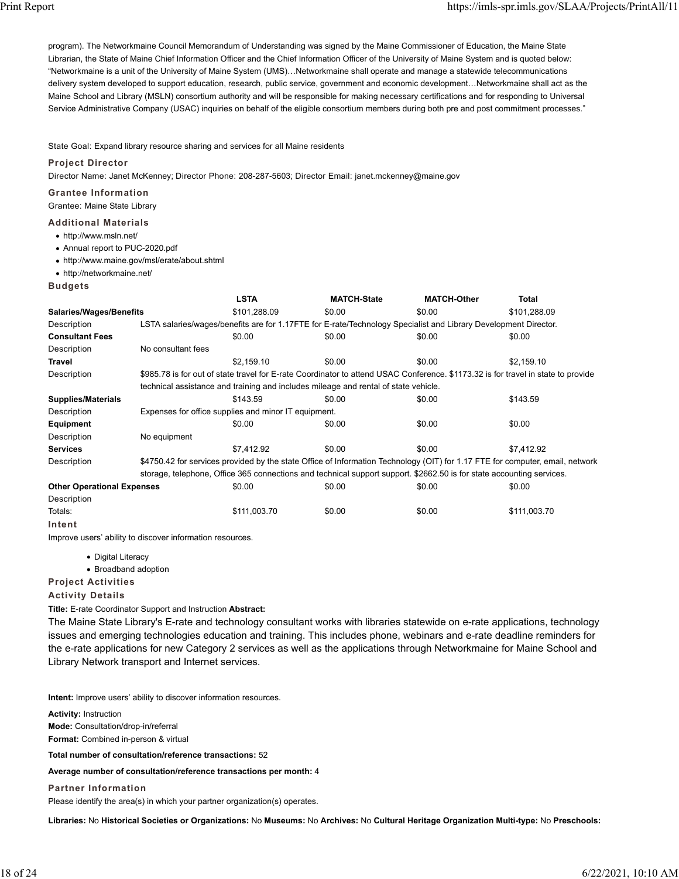program). The Networkmaine Council Memorandum of Understanding was signed by the Maine Commissioner of Education, the Maine State Librarian, the State of Maine Chief Information Officer and the Chief Information Officer of the University of Maine System and is quoted below: "Networkmaine is a unit of the University of Maine System (UMS)…Networkmaine shall operate and manage a statewide telecommunications delivery system developed to support education, research, public service, government and economic development…Networkmaine shall act as the Maine School and Library (MSLN) consortium authority and will be responsible for making necessary certifications and for responding to Universal Service Administrative Company (USAC) inquiries on behalf of the eligible consortium members during both pre and post commitment processes."

State Goal: Expand library resource sharing and services for all Maine residents

### **Project Director**

Director Name: Janet McKenney; Director Phone: 208-287-5603; Director Email: janet.mckenney@maine.gov

### **Grantee Information**

Grantee: Maine State Library

## **Additional Materials**

- http://www.msln.net/
- Annual report to PUC-2020.pdf
- http://www.maine.gov/msl/erate/about.shtml
- http://networkmaine.net/

**Budgets**

|                                   |                    | <b>LSTA</b>                                                                                                                   | <b>MATCH-State</b> | <b>MATCH-Other</b> | Total                                                                                                                             |  |  |  |  |
|-----------------------------------|--------------------|-------------------------------------------------------------------------------------------------------------------------------|--------------------|--------------------|-----------------------------------------------------------------------------------------------------------------------------------|--|--|--|--|
| <b>Salaries/Wages/Benefits</b>    |                    | \$101,288.09                                                                                                                  | \$0.00             | \$0.00             | \$101,288.09                                                                                                                      |  |  |  |  |
| Description                       |                    | LSTA salaries/wages/benefits are for 1.17FTE for E-rate/Technology Specialist and Library Development Director.               |                    |                    |                                                                                                                                   |  |  |  |  |
| <b>Consultant Fees</b>            |                    | \$0.00                                                                                                                        | \$0.00             | \$0.00             | \$0.00                                                                                                                            |  |  |  |  |
| Description                       | No consultant fees |                                                                                                                               |                    |                    |                                                                                                                                   |  |  |  |  |
| Travel                            |                    | \$2.159.10                                                                                                                    | \$0.00             | \$0.00             | \$2,159.10                                                                                                                        |  |  |  |  |
| Description                       |                    |                                                                                                                               |                    |                    | \$985.78 is for out of state travel for E-rate Coordinator to attend USAC Conference. \$1173.32 is for travel in state to provide |  |  |  |  |
|                                   |                    | technical assistance and training and includes mileage and rental of state vehicle.                                           |                    |                    |                                                                                                                                   |  |  |  |  |
| <b>Supplies/Materials</b>         |                    | \$143.59                                                                                                                      | \$0.00             | \$0.00             | \$143.59                                                                                                                          |  |  |  |  |
| Description                       |                    | Expenses for office supplies and minor IT equipment.                                                                          |                    |                    |                                                                                                                                   |  |  |  |  |
| Equipment                         |                    | \$0.00                                                                                                                        | \$0.00             | \$0.00             | \$0.00                                                                                                                            |  |  |  |  |
| Description                       | No equipment       |                                                                                                                               |                    |                    |                                                                                                                                   |  |  |  |  |
| <b>Services</b>                   |                    | \$7.412.92                                                                                                                    | \$0.00             | \$0.00             | \$7.412.92                                                                                                                        |  |  |  |  |
| Description                       |                    | \$4750.42 for services provided by the state Office of Information Technology (OIT) for 1.17 FTE for computer, email, network |                    |                    |                                                                                                                                   |  |  |  |  |
|                                   |                    | storage, telephone, Office 365 connections and technical support support. \$2662.50 is for state accounting services.         |                    |                    |                                                                                                                                   |  |  |  |  |
| <b>Other Operational Expenses</b> |                    | \$0.00                                                                                                                        | \$0.00             | \$0.00             | \$0.00                                                                                                                            |  |  |  |  |
| Description                       |                    |                                                                                                                               |                    |                    |                                                                                                                                   |  |  |  |  |
| Totals:                           |                    | \$111,003.70                                                                                                                  | \$0.00             | \$0.00             | \$111,003.70                                                                                                                      |  |  |  |  |
| Intent                            |                    |                                                                                                                               |                    |                    |                                                                                                                                   |  |  |  |  |

Improve users' ability to discover information resources.

- Digital Literacy
- Broadband adoption
- **Project Activities**

**Activity Details**

**Title:** E-rate Coordinator Support and Instruction **Abstract:**

The Maine State Library's E-rate and technology consultant works with libraries statewide on e-rate applications, technology issues and emerging technologies education and training. This includes phone, webinars and e-rate deadline reminders for the e-rate applications for new Category 2 services as well as the applications through Networkmaine for Maine School and Library Network transport and Internet services.

**Intent:** Improve users' ability to discover information resources.

**Activity:** Instruction **Mode:** Consultation/drop-in/referral **Format:** Combined in-person & virtual

**Total number of consultation/reference transactions:** 52

**Average number of consultation/reference transactions per month:** 4

**Partner Information**

Please identify the area(s) in which your partner organization(s) operates.

**Libraries:** No **Historical Societies or Organizations:** No **Museums:** No **Archives:** No **Cultural Heritage Organization Multi-type:** No **Preschools:**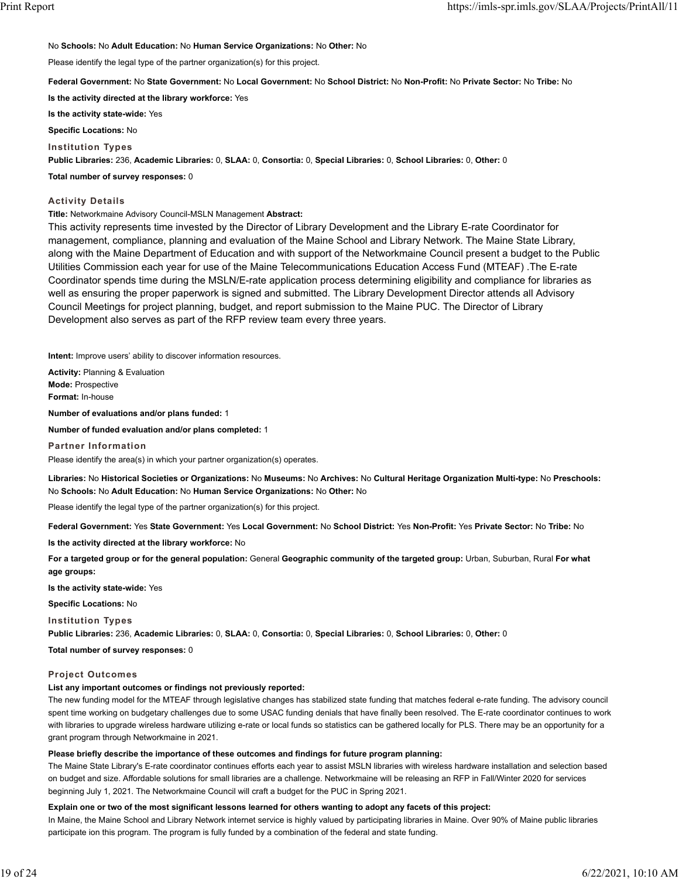## No **Schools:** No **Adult Education:** No **Human Service Organizations:** No **Other:** No

Please identify the legal type of the partner organization(s) for this project.

## **Federal Government:** No **State Government:** No **Local Government:** No **School District:** No **Non-Profit:** No **Private Sector:** No **Tribe:** No

**Is the activity directed at the library workforce:** Yes

**Is the activity state-wide:** Yes

**Specific Locations:** No

**Institution Types**

**Public Libraries:** 236, **Academic Libraries:** 0, **SLAA:** 0, **Consortia:** 0, **Special Libraries:** 0, **School Libraries:** 0, **Other:** 0

**Total number of survey responses:** 0

## **Activity Details**

**Title:** Networkmaine Advisory Council-MSLN Management **Abstract:**

This activity represents time invested by the Director of Library Development and the Library E-rate Coordinator for management, compliance, planning and evaluation of the Maine School and Library Network. The Maine State Library, along with the Maine Department of Education and with support of the Networkmaine Council present a budget to the Public Utilities Commission each year for use of the Maine Telecommunications Education Access Fund (MTEAF) .The E-rate Coordinator spends time during the MSLN/E-rate application process determining eligibility and compliance for libraries as well as ensuring the proper paperwork is signed and submitted. The Library Development Director attends all Advisory Council Meetings for project planning, budget, and report submission to the Maine PUC. The Director of Library Development also serves as part of the RFP review team every three years.

**Intent:** Improve users' ability to discover information resources.

**Activity:** Planning & Evaluation **Mode:** Prospective **Format:** In-house **Number of evaluations and/or plans funded:** 1

**Number of funded evaluation and/or plans completed:** 1

**Partner Information**

Please identify the area(s) in which your partner organization(s) operates.

**Libraries:** No **Historical Societies or Organizations:** No **Museums:** No **Archives:** No **Cultural Heritage Organization Multi-type:** No **Preschools:** No **Schools:** No **Adult Education:** No **Human Service Organizations:** No **Other:** No

Please identify the legal type of the partner organization(s) for this project.

**Federal Government:** Yes **State Government:** Yes **Local Government:** No **School District:** Yes **Non-Profit:** Yes **Private Sector:** No **Tribe:** No

**Is the activity directed at the library workforce:** No

**For a targeted group or for the general population:** General **Geographic community of the targeted group:** Urban, Suburban, Rural **For what age groups:**

**Is the activity state-wide:** Yes

**Specific Locations:** No

**Institution Types**

**Public Libraries:** 236, **Academic Libraries:** 0, **SLAA:** 0, **Consortia:** 0, **Special Libraries:** 0, **School Libraries:** 0, **Other:** 0

**Total number of survey responses:** 0

## **Project Outcomes**

## **List any important outcomes or findings not previously reported:**

The new funding model for the MTEAF through legislative changes has stabilized state funding that matches federal e-rate funding. The advisory council spent time working on budgetary challenges due to some USAC funding denials that have finally been resolved. The E-rate coordinator continues to work with libraries to upgrade wireless hardware utilizing e-rate or local funds so statistics can be gathered locally for PLS. There may be an opportunity for a grant program through Networkmaine in 2021.

## **Please briefly describe the importance of these outcomes and findings for future program planning:**

The Maine State Library's E-rate coordinator continues efforts each year to assist MSLN libraries with wireless hardware installation and selection based on budget and size. Affordable solutions for small libraries are a challenge. Networkmaine will be releasing an RFP in Fall/Winter 2020 for services beginning July 1, 2021. The Networkmaine Council will craft a budget for the PUC in Spring 2021.

## **Explain one or two of the most significant lessons learned for others wanting to adopt any facets of this project:**

In Maine, the Maine School and Library Network internet service is highly valued by participating libraries in Maine. Over 90% of Maine public libraries participate ion this program. The program is fully funded by a combination of the federal and state funding.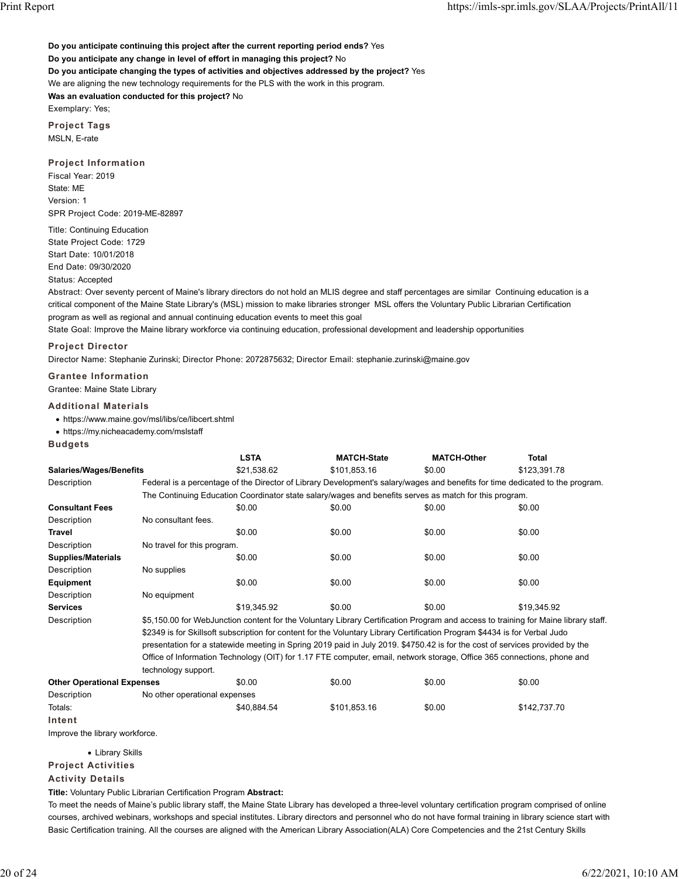**Do you anticipate continuing this project after the current reporting period ends?** Yes **Do you anticipate any change in level of effort in managing this project?** No **Do you anticipate changing the types of activities and objectives addressed by the project?** Yes We are aligning the new technology requirements for the PLS with the work in this program. **Was an evaluation conducted for this project?** No Exemplary: Yes;

**Project Tags** MSLN, E-rate

**Project Information**

Fiscal Year: 2019 State: ME Version: 1 SPR Project Code: 2019-ME-82897

Title: Continuing Education State Project Code: 1729 Start Date: 10/01/2018 End Date: 09/30/2020

Status: Accepted

Abstract: Over seventy percent of Maine's library directors do not hold an MLIS degree and staff percentages are similar Continuing education is a critical component of the Maine State Library's (MSL) mission to make libraries stronger MSL offers the Voluntary Public Librarian Certification program as well as regional and annual continuing education events to meet this goal

State Goal: Improve the Maine library workforce via continuing education, professional development and leadership opportunities

## **Project Director**

Director Name: Stephanie Zurinski; Director Phone: 2072875632; Director Email: stephanie.zurinski@maine.gov

**Grantee Information** Grantee: Maine State Library

### **Additional Materials**

https://www.maine.gov/msl/libs/ce/libcert.shtml

- https://my.nicheacademy.com/mslstaff
- **Budgets**

|                                   |                                                                                                                              | <b>LSTA</b>                                                                                                                        | <b>MATCH-State</b>                                                                                                            | <b>MATCH-Other</b> | <b>Total</b> |  |  |  |
|-----------------------------------|------------------------------------------------------------------------------------------------------------------------------|------------------------------------------------------------------------------------------------------------------------------------|-------------------------------------------------------------------------------------------------------------------------------|--------------------|--------------|--|--|--|
| <b>Salaries/Wages/Benefits</b>    |                                                                                                                              | \$21,538.62                                                                                                                        | \$101,853.16                                                                                                                  | \$0.00             | \$123,391.78 |  |  |  |
| Description                       |                                                                                                                              |                                                                                                                                    | Federal is a percentage of the Director of Library Development's salary/wages and benefits for time dedicated to the program. |                    |              |  |  |  |
|                                   |                                                                                                                              |                                                                                                                                    | The Continuing Education Coordinator state salary/wages and benefits serves as match for this program.                        |                    |              |  |  |  |
| <b>Consultant Fees</b>            |                                                                                                                              | \$0.00                                                                                                                             | \$0.00                                                                                                                        | \$0.00             | \$0.00       |  |  |  |
| Description                       | No consultant fees.                                                                                                          |                                                                                                                                    |                                                                                                                               |                    |              |  |  |  |
| Travel                            |                                                                                                                              | \$0.00                                                                                                                             | \$0.00                                                                                                                        | \$0.00             | \$0.00       |  |  |  |
| Description                       | No travel for this program.                                                                                                  |                                                                                                                                    |                                                                                                                               |                    |              |  |  |  |
| <b>Supplies/Materials</b>         |                                                                                                                              | \$0.00                                                                                                                             | \$0.00                                                                                                                        | \$0.00             | \$0.00       |  |  |  |
| Description                       | No supplies                                                                                                                  |                                                                                                                                    |                                                                                                                               |                    |              |  |  |  |
| Equipment                         |                                                                                                                              | \$0.00                                                                                                                             | \$0.00                                                                                                                        | \$0.00             | \$0.00       |  |  |  |
| Description                       | No equipment                                                                                                                 |                                                                                                                                    |                                                                                                                               |                    |              |  |  |  |
| <b>Services</b>                   |                                                                                                                              | \$19.345.92                                                                                                                        | \$0.00                                                                                                                        | \$0.00             | \$19.345.92  |  |  |  |
| Description                       |                                                                                                                              | \$5,150.00 for WebJunction content for the Voluntary Library Certification Program and access to training for Maine library staff. |                                                                                                                               |                    |              |  |  |  |
|                                   |                                                                                                                              | \$2349 is for Skillsoft subscription for content for the Voluntary Library Certification Program \$4434 is for Verbal Judo         |                                                                                                                               |                    |              |  |  |  |
|                                   | presentation for a statewide meeting in Spring 2019 paid in July 2019. \$4750.42 is for the cost of services provided by the |                                                                                                                                    |                                                                                                                               |                    |              |  |  |  |
|                                   | Office of Information Technology (OIT) for 1.17 FTE computer, email, network storage, Office 365 connections, phone and      |                                                                                                                                    |                                                                                                                               |                    |              |  |  |  |
|                                   | technology support.                                                                                                          |                                                                                                                                    |                                                                                                                               |                    |              |  |  |  |
| <b>Other Operational Expenses</b> |                                                                                                                              | \$0.00                                                                                                                             | \$0.00                                                                                                                        | \$0.00             | \$0.00       |  |  |  |

Description No other operational expenses Totals: \$40,884.54 \$101,853.16 \$0.00 \$142,737.70 **Intent**

Improve the library workforce.

Library Skills

**Project Activities**

**Activity Details**

**Title:** Voluntary Public Librarian Certification Program **Abstract:**

To meet the needs of Maine's public library staff, the Maine State Library has developed a three-level voluntary certification program comprised of online courses, archived webinars, workshops and special institutes. Library directors and personnel who do not have formal training in library science start with Basic Certification training. All the courses are aligned with the American Library Association(ALA) Core Competencies and the 21st Century Skills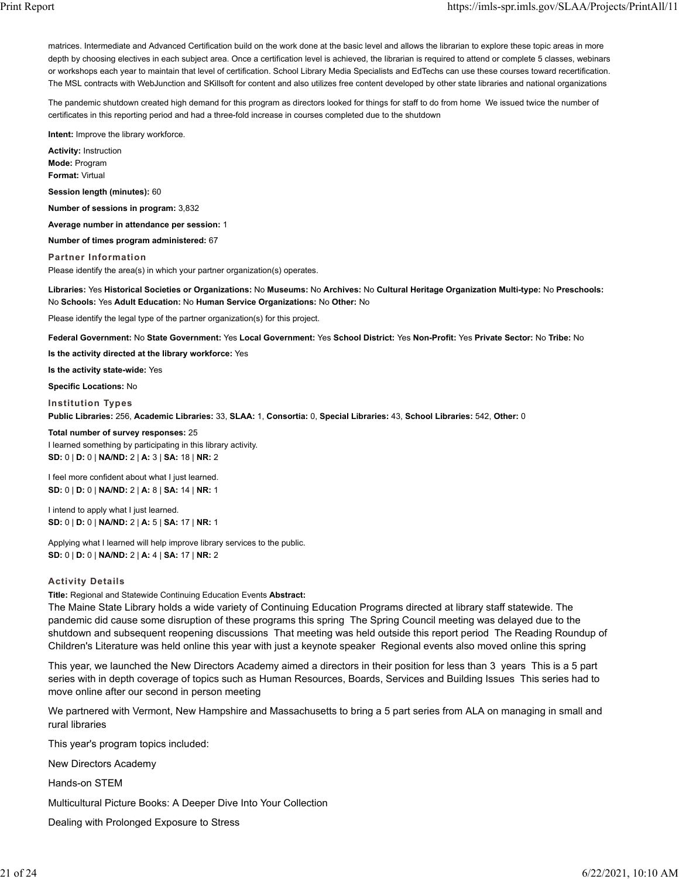matrices. Intermediate and Advanced Certification build on the work done at the basic level and allows the librarian to explore these topic areas in more depth by choosing electives in each subject area. Once a certification level is achieved, the librarian is required to attend or complete 5 classes, webinars or workshops each year to maintain that level of certification. School Library Media Specialists and EdTechs can use these courses toward recertification. The MSL contracts with WebJunction and SKillsoft for content and also utilizes free content developed by other state libraries and national organizations

The pandemic shutdown created high demand for this program as directors looked for things for staff to do from home We issued twice the number of certificates in this reporting period and had a three-fold increase in courses completed due to the shutdown

**Intent:** Improve the library workforce.

**Activity:** Instruction **Mode:** Program **Format:** Virtual

**Session length (minutes):** 60

**Number of sessions in program:** 3,832

**Average number in attendance per session:** 1

**Number of times program administered:** 67

**Partner Information** Please identify the area(s) in which your partner organization(s) operates.

**Libraries:** Yes **Historical Societies or Organizations:** No **Museums:** No **Archives:** No **Cultural Heritage Organization Multi-type:** No **Preschools:** No **Schools:** Yes **Adult Education:** No **Human Service Organizations:** No **Other:** No

Please identify the legal type of the partner organization(s) for this project.

**Federal Government:** No **State Government:** Yes **Local Government:** Yes **School District:** Yes **Non-Profit:** Yes **Private Sector:** No **Tribe:** No

**Is the activity directed at the library workforce:** Yes

**Is the activity state-wide:** Yes

**Specific Locations:** No

**Institution Types**

**Public Libraries:** 256, **Academic Libraries:** 33, **SLAA:** 1, **Consortia:** 0, **Special Libraries:** 43, **School Libraries:** 542, **Other:** 0

#### **Total number of survey responses:** 25

I learned something by participating in this library activity. **SD:** 0 | **D:** 0 | **NA/ND:** 2 | **A:** 3 | **SA:** 18 | **NR:** 2

I feel more confident about what I just learned. **SD:** 0 | **D:** 0 | **NA/ND:** 2 | **A:** 8 | **SA:** 14 | **NR:** 1

I intend to apply what I just learned. **SD:** 0 | **D:** 0 | **NA/ND:** 2 | **A:** 5 | **SA:** 17 | **NR:** 1

Applying what I learned will help improve library services to the public. **SD:** 0 | **D:** 0 | **NA/ND:** 2 | **A:** 4 | **SA:** 17 | **NR:** 2

### **Activity Details**

**Title:** Regional and Statewide Continuing Education Events **Abstract:**

The Maine State Library holds a wide variety of Continuing Education Programs directed at library staff statewide. The pandemic did cause some disruption of these programs this spring The Spring Council meeting was delayed due to the shutdown and subsequent reopening discussions That meeting was held outside this report period The Reading Roundup of Children's Literature was held online this year with just a keynote speaker Regional events also moved online this spring

This year, we launched the New Directors Academy aimed a directors in their position for less than 3 years This is a 5 part series with in depth coverage of topics such as Human Resources, Boards, Services and Building Issues This series had to move online after our second in person meeting

We partnered with Vermont, New Hampshire and Massachusetts to bring a 5 part series from ALA on managing in small and rural libraries

This year's program topics included:

New Directors Academy

Hands-on STEM

Multicultural Picture Books: A Deeper Dive Into Your Collection

Dealing with Prolonged Exposure to Stress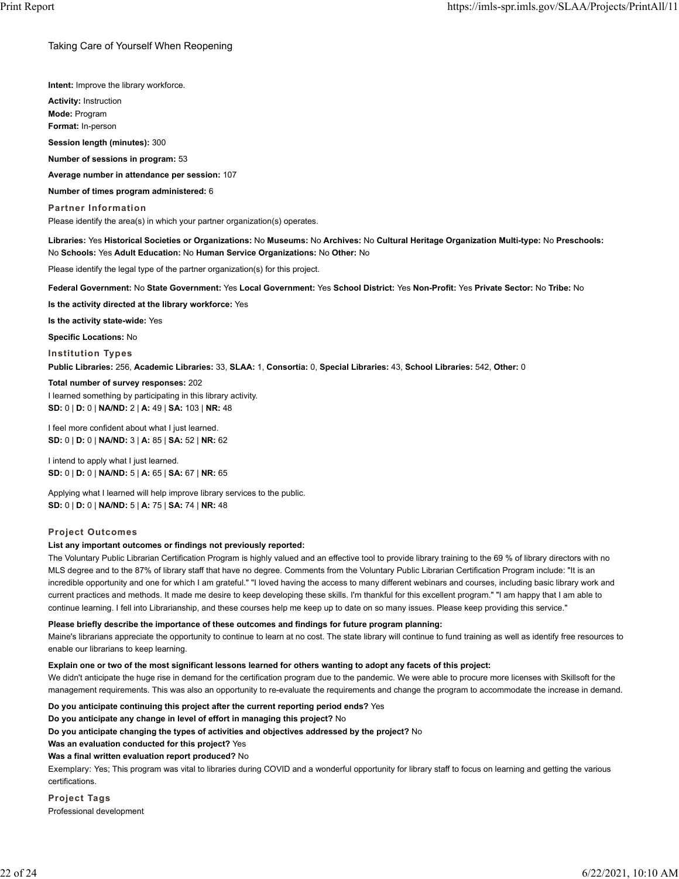## Taking Care of Yourself When Reopening

**Intent:** Improve the library workforce.

**Activity:** Instruction **Mode:** Program **Format:** In-person

**Session length (minutes):** 300

**Number of sessions in program:** 53

**Average number in attendance per session:** 107

**Number of times program administered:** 6

**Partner Information** Please identify the area(s) in which your partner organization(s) operates.

**Libraries:** Yes **Historical Societies or Organizations:** No **Museums:** No **Archives:** No **Cultural Heritage Organization Multi-type:** No **Preschools:** No **Schools:** Yes **Adult Education:** No **Human Service Organizations:** No **Other:** No

Please identify the legal type of the partner organization(s) for this project.

**Federal Government:** No **State Government:** Yes **Local Government:** Yes **School District:** Yes **Non-Profit:** Yes **Private Sector:** No **Tribe:** No

**Is the activity directed at the library workforce:** Yes

**Is the activity state-wide:** Yes

**Specific Locations:** No **Institution Types**

**Public Libraries:** 256, **Academic Libraries:** 33, **SLAA:** 1, **Consortia:** 0, **Special Libraries:** 43, **School Libraries:** 542, **Other:** 0

**Total number of survey responses:** 202 I learned something by participating in this library activity. **SD:** 0 | **D:** 0 | **NA/ND:** 2 | **A:** 49 | **SA:** 103 | **NR:** 48

I feel more confident about what I just learned. **SD:** 0 | **D:** 0 | **NA/ND:** 3 | **A:** 85 | **SA:** 52 | **NR:** 62

I intend to apply what I just learned. **SD:** 0 | **D:** 0 | **NA/ND:** 5 | **A:** 65 | **SA:** 67 | **NR:** 65

Applying what I learned will help improve library services to the public. **SD:** 0 | **D:** 0 | **NA/ND:** 5 | **A:** 75 | **SA:** 74 | **NR:** 48

#### **Project Outcomes**

#### **List any important outcomes or findings not previously reported:**

The Voluntary Public Librarian Certification Program is highly valued and an effective tool to provide library training to the 69 % of library directors with no MLS degree and to the 87% of library staff that have no degree. Comments from the Voluntary Public Librarian Certification Program include: "It is an incredible opportunity and one for which I am grateful." "I loved having the access to many different webinars and courses, including basic library work and current practices and methods. It made me desire to keep developing these skills. I'm thankful for this excellent program." "I am happy that I am able to continue learning. I fell into Librarianship, and these courses help me keep up to date on so many issues. Please keep providing this service."

**Please briefly describe the importance of these outcomes and findings for future program planning:**

Maine's librarians appreciate the opportunity to continue to learn at no cost. The state library will continue to fund training as well as identify free resources to enable our librarians to keep learning.

#### **Explain one or two of the most significant lessons learned for others wanting to adopt any facets of this project:**

We didn't anticipate the huge rise in demand for the certification program due to the pandemic. We were able to procure more licenses with Skillsoft for the management requirements. This was also an opportunity to re-evaluate the requirements and change the program to accommodate the increase in demand.

**Do you anticipate continuing this project after the current reporting period ends?** Yes

**Do you anticipate any change in level of effort in managing this project?** No

**Do you anticipate changing the types of activities and objectives addressed by the project?** No

**Was an evaluation conducted for this project?** Yes

**Was a final written evaluation report produced?** No

Exemplary: Yes; This program was vital to libraries during COVID and a wonderful opportunity for library staff to focus on learning and getting the various certifications.

**Project Tags** Professional development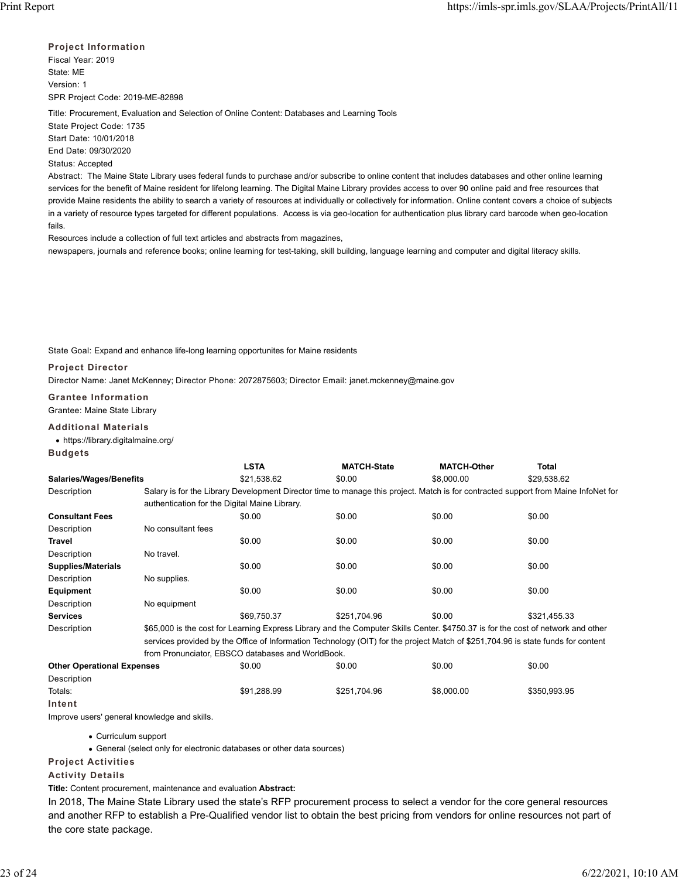**Project Information** Fiscal Year: 2019 State: ME Version: 1 SPR Project Code: 2019-ME-82898

Title: Procurement, Evaluation and Selection of Online Content: Databases and Learning Tools State Project Code: 1735 Start Date: 10/01/2018 End Date: 09/30/2020 Status: Accepted

Abstract: The Maine State Library uses federal funds to purchase and/or subscribe to online content that includes databases and other online learning services for the benefit of Maine resident for lifelong learning. The Digital Maine Library provides access to over 90 online paid and free resources that provide Maine residents the ability to search a variety of resources at individually or collectively for information. Online content covers a choice of subjects in a variety of resource types targeted for different populations. Access is via geo-location for authentication plus library card barcode when geo-location fails.

Resources include a collection of full text articles and abstracts from magazines, newspapers, journals and reference books; online learning for test-taking, skill building, language learning and computer and digital literacy skills.

State Goal: Expand and enhance life-long learning opportunites for Maine residents

## **Project Director** Director Name: Janet McKenney; Director Phone: 2072875603; Director Email: janet.mckenney@maine.gov

**Grantee Information**

Grantee: Maine State Library

## **Additional Materials**

https://library.digitalmaine.org/

**Budgets**

|                                |                                                                                                                                                                                                                                                                      | <b>LSTA</b> | <b>MATCH-State</b> | <b>MATCH-Other</b> | Total                                                                                                                              |  |  |
|--------------------------------|----------------------------------------------------------------------------------------------------------------------------------------------------------------------------------------------------------------------------------------------------------------------|-------------|--------------------|--------------------|------------------------------------------------------------------------------------------------------------------------------------|--|--|
| <b>Salaries/Wages/Benefits</b> |                                                                                                                                                                                                                                                                      | \$21,538.62 | \$0.00             | \$8,000.00         | \$29.538.62                                                                                                                        |  |  |
| Description                    |                                                                                                                                                                                                                                                                      |             |                    |                    | Salary is for the Library Development Director time to manage this project. Match is for contracted support from Maine InfoNet for |  |  |
|                                | authentication for the Digital Maine Library.                                                                                                                                                                                                                        |             |                    |                    |                                                                                                                                    |  |  |
| <b>Consultant Fees</b>         |                                                                                                                                                                                                                                                                      | \$0.00      | \$0.00             | \$0.00             | \$0.00                                                                                                                             |  |  |
| Description                    | No consultant fees                                                                                                                                                                                                                                                   |             |                    |                    |                                                                                                                                    |  |  |
| Travel                         |                                                                                                                                                                                                                                                                      | \$0.00      | \$0.00             | \$0.00             | \$0.00                                                                                                                             |  |  |
| Description                    | No travel.                                                                                                                                                                                                                                                           |             |                    |                    |                                                                                                                                    |  |  |
| <b>Supplies/Materials</b>      |                                                                                                                                                                                                                                                                      | \$0.00      | \$0.00             | \$0.00             | \$0.00                                                                                                                             |  |  |
| Description                    | No supplies.                                                                                                                                                                                                                                                         |             |                    |                    |                                                                                                                                    |  |  |
| Equipment                      |                                                                                                                                                                                                                                                                      | \$0.00      | \$0.00             | \$0.00             | \$0.00                                                                                                                             |  |  |
| Description                    | No equipment                                                                                                                                                                                                                                                         |             |                    |                    |                                                                                                                                    |  |  |
| <b>Services</b>                |                                                                                                                                                                                                                                                                      | \$69.750.37 | \$251.704.96       | \$0.00             | \$321,455.33                                                                                                                       |  |  |
| Description                    | \$65,000 is the cost for Learning Express Library and the Computer Skills Center. \$4750.37 is for the cost of network and other<br>services provided by the Office of Information Technology (OIT) for the project Match of \$251,704.96 is state funds for content |             |                    |                    |                                                                                                                                    |  |  |
|                                | from Pronunciator, EBSCO databases and WorldBook.                                                                                                                                                                                                                    |             |                    |                    |                                                                                                                                    |  |  |

| <b>Other Operational Expenses</b> | \$0.00      | \$0.00       | \$0.00     | \$0.00       |
|-----------------------------------|-------------|--------------|------------|--------------|
| Description                       |             |              |            |              |
| Totals:                           | \$91.288.99 | \$251.704.96 | \$8,000.00 | \$350,993.95 |
| Intent                            |             |              |            |              |

Improve users' general knowledge and skills.

Curriculum support

General (select only for electronic databases or other data sources)

**Project Activities**

## **Activity Details**

**Title:** Content procurement, maintenance and evaluation **Abstract:**

In 2018, The Maine State Library used the state's RFP procurement process to select a vendor for the core general resources and another RFP to establish a Pre-Qualified vendor list to obtain the best pricing from vendors for online resources not part of the core state package.